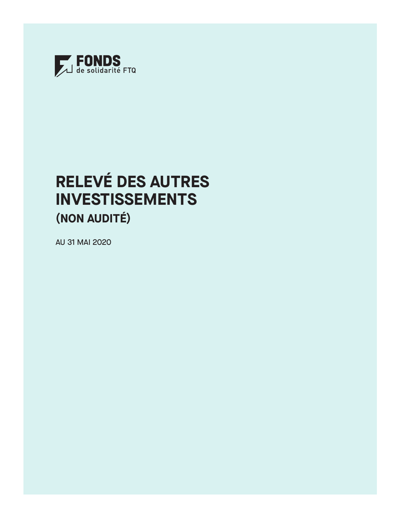

# **RELEVÉ DES AUTRES INVESTISSEMENTS (NON AUDITÉ)**

AU 31 MAI 2020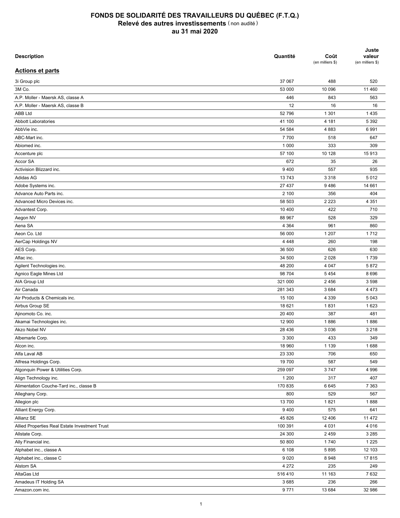| <b>Description</b>                             | Quantité | Coût<br>(en milliers \$) | Juste<br>valeur<br>(en milliers \$) |
|------------------------------------------------|----------|--------------------------|-------------------------------------|
| <b>Actions et parts</b>                        |          |                          |                                     |
| 3i Group plc                                   | 37 067   | 488                      | 520                                 |
| 3M Co.                                         | 53 000   | 10 096                   | 11 460                              |
| A.P. Moller - Maersk AS, classe A              | 446      | 843                      | 563                                 |
| A.P. Moller - Maersk AS, classe B              | 12       | 16                       | 16                                  |
| <b>ABB Ltd</b>                                 | 52 796   | 1 3 0 1                  | 1 4 3 5                             |
| <b>Abbott Laboratories</b>                     | 41 100   | 4 181                    | 5 3 9 2                             |
| AbbVie inc.                                    | 54 584   | 4883                     | 6991                                |
| ABC-Mart inc.                                  | 7700     | 518                      | 647                                 |
| Abiomed inc.                                   | 1 0 0 0  | 333                      | 309                                 |
| Accenture plc                                  | 57 100   | 10 128                   | 15913                               |
| Accor SA                                       | 672      | 35                       | 26                                  |
| Activision Blizzard inc.                       | 9 4 0 0  | 557                      | 935                                 |
| Adidas AG                                      | 13743    | 3 3 1 8                  | 5012                                |
| Adobe Systems inc.                             | 27 437   | 9486                     | 14 661                              |
| Advance Auto Parts inc.                        | 2 100    | 356                      | 404                                 |
|                                                |          |                          |                                     |
| Advanced Micro Devices inc.                    | 58 503   | 2 2 2 3                  | 4 3 5 1                             |
| Advantest Corp.                                | 10 400   | 422                      | 710                                 |
| Aegon NV                                       | 88 967   | 528                      | 329                                 |
| Aena SA                                        | 4 3 6 4  | 961                      | 860                                 |
| Aeon Co. Ltd                                   | 56 000   | 1 207                    | 1712                                |
| AerCap Holdings NV                             | 4 4 4 8  | 260                      | 198                                 |
| AES Corp.                                      | 36 500   | 626                      | 630                                 |
| Aflac inc.                                     | 34 500   | 2 0 2 8                  | 1739                                |
| Agilent Technologies inc.                      | 48 200   | 4 0 4 7                  | 5872                                |
| Agnico Eagle Mines Ltd                         | 98 704   | 5454                     | 8696                                |
| AIA Group Ltd                                  | 321 000  | 2 4 5 6                  | 3 5 9 8                             |
| Air Canada                                     | 281 343  | 3684                     | 4 4 7 3                             |
| Air Products & Chemicals inc.                  | 15 100   | 4 3 3 9                  | 5 0 4 3                             |
| Airbus Group SE                                | 18 621   | 1831                     | 1623                                |
| Ajinomoto Co. inc.                             | 20 400   | 387                      | 481                                 |
| Akamai Technologies inc.                       | 12 900   | 1886                     | 1886                                |
| Akzo Nobel NV                                  | 28 4 36  | 3 0 3 6                  | 3 2 1 8                             |
| Albemarle Corp.                                | 3 3 0 0  | 433                      | 349                                 |
| Alcon inc.                                     | 18 960   | 1 1 3 9                  | 1688                                |
| Alfa Laval AB                                  | 23 330   | 706                      | 650                                 |
| Alfresa Holdings Corp.                         | 19700    | 587                      | 549                                 |
| Algonquin Power & Utilities Corp.              | 259 097  | 3747                     | 4 9 9 6                             |
| Align Technology inc.                          | 1 200    | 317                      | 407                                 |
| Alimentation Couche-Tard inc., classe B        | 170 835  | 6645                     | 7 3 6 3                             |
| Alleghany Corp.                                | 800      | 529                      | 567                                 |
| Allegion plc                                   | 13 700   | 1821                     | 1888                                |
| Alliant Energy Corp.                           | 9400     | 575                      | 641                                 |
| Allianz SE                                     | 45 826   | 12 40 6                  | 11 472                              |
| Allied Properties Real Estate Investment Trust | 100 391  | 4 0 3 1                  | 4 0 16                              |
| Allstate Corp.                                 | 24 300   | 2 4 5 9                  | 3 2 8 5                             |
| Ally Financial inc.                            | 50 800   | 1740                     | 1 2 2 5                             |
|                                                |          |                          |                                     |
| Alphabet inc., classe A                        | 6 108    | 5895                     | 12 103                              |
| Alphabet inc., classe C                        | 9 0 2 0  | 8948                     | 17815                               |
| Alstom SA                                      | 4 2 7 2  | 235                      | 249                                 |
| AltaGas Ltd                                    | 516410   | 11 163                   | 7632                                |
| Amadeus IT Holding SA                          | 3685     | 236                      | 266                                 |
| Amazon.com inc.                                | 9771     | 13 684                   | 32 986                              |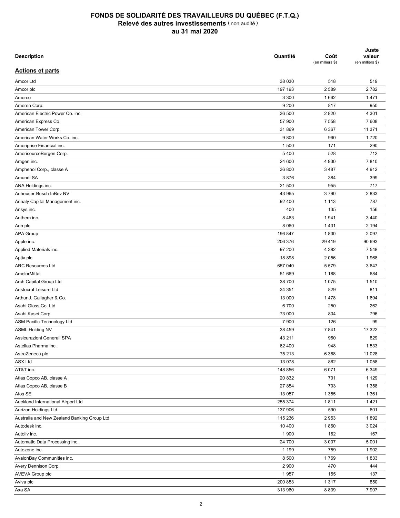| <b>Description</b>                          | Quantité | Coût<br>(en milliers \$) | Juste<br>valeur<br>(en milliers \$) |
|---------------------------------------------|----------|--------------------------|-------------------------------------|
| <b>Actions et parts</b>                     |          |                          |                                     |
| Amcor Ltd                                   | 38 030   | 518                      | 519                                 |
| Amcor plc                                   | 197 193  | 2 5 8 9                  | 2782                                |
| Amerco                                      | 3 3 0 0  | 1662                     | 1471                                |
| Ameren Corp.                                | 9 2 0 0  | 817                      | 950                                 |
| American Electric Power Co. inc.            | 36 500   | 2820                     | 4 3 0 1                             |
| American Express Co.                        | 57 900   | 7 5 5 8                  | 7608                                |
| American Tower Corp.                        | 31 869   | 6 3 6 7                  | 11 371                              |
| American Water Works Co. inc.               | 9800     | 960                      | 1720                                |
| Ameriprise Financial inc.                   | 1 500    | 171                      | 290                                 |
| AmerisourceBergen Corp.                     | 5 4 0 0  | 528                      | 712                                 |
| Amgen inc.                                  | 24 600   | 4 9 3 0                  | 7810                                |
| Amphenol Corp., classe A                    | 36 800   | 3 4 8 7                  | 4912                                |
| Amundi SA                                   | 3876     | 384                      | 399                                 |
| ANA Holdings inc.                           | 21 500   | 955                      | 717                                 |
| Anheuser-Busch InBev NV                     | 43 965   | 3790                     | 2833                                |
| Annaly Capital Management inc.              | 92 400   | 1 1 1 3                  | 787                                 |
| Ansys inc.                                  | 400      | 135                      | 156                                 |
| Anthem inc.                                 | 8 4 6 3  | 1941                     | 3 4 4 0                             |
| Aon plc                                     | 8 0 6 0  | 1431                     | 2 1 9 4                             |
| <b>APA Group</b>                            | 196 847  | 1830                     | 2 0 9 7                             |
| Apple inc.                                  | 206 376  | 29 4 19                  | 90 693                              |
| Applied Materials inc.                      | 97 200   | 4 3 8 2                  | 7 5 4 8                             |
| Aptiv plc                                   | 18898    | 2 0 5 6                  | 1968                                |
| <b>ARC Resources Ltd</b>                    | 657 040  | 5579                     | 3647                                |
| ArcelorMittal                               | 51 669   | 1 1 8 8                  | 684                                 |
| Arch Capital Group Ltd                      | 38 700   | 1 0 7 5                  | 1510                                |
| Aristocrat Leisure Ltd                      | 34 351   | 829                      | 811                                 |
| Arthur J. Gallagher & Co.                   | 13 000   | 1478                     | 1694                                |
| Asahi Glass Co. Ltd                         | 6700     | 250                      | 262                                 |
| Asahi Kasei Corp.                           | 73 000   | 804                      | 796                                 |
| ASM Pacific Technology Ltd                  | 7 900    | 126                      | 99                                  |
| <b>ASML Holding NV</b>                      | 38 459   | 7841                     | 17 322                              |
| Assicurazioni Generali SPA                  | 43 211   | 960                      | 829                                 |
| Astellas Pharma inc.                        | 62 400   | 948                      | 1 5 3 3                             |
| AstraZeneca plc                             | 75 213   | 6 3 6 8                  | 11 0 28                             |
| <b>ASX Ltd</b>                              | 13 0 78  | 862                      | 1 0 5 8                             |
| AT&T inc.                                   |          |                          | 6 3 4 9                             |
|                                             | 148 856  | 6 0 7 1                  | 1 1 2 9                             |
| Atlas Copco AB, classe A                    | 20 832   | 701                      |                                     |
| Atlas Copco AB, classe B                    | 27 854   | 703                      | 1 3 5 8                             |
| Atos SE                                     | 13 057   | 1 3 5 5                  | 1 3 6 1                             |
| Auckland International Airport Ltd          | 255 374  | 1811                     | 1421                                |
| Aurizon Holdings Ltd                        | 137 906  | 590                      | 601                                 |
| Australia and New Zealand Banking Group Ltd | 115 236  | 2953                     | 1892                                |
| Autodesk inc.                               | 10 400   | 1860                     | 3 0 24                              |
| Autoliv inc.                                | 1 900    | 162                      | 167                                 |
| Automatic Data Processing inc.              | 24 700   | 3 0 0 7                  | 5 0 0 1                             |
| Autozone inc.                               | 1 1 9 9  | 759                      | 1 9 0 2                             |
| AvalonBay Communities inc.                  | 8 5 0 0  | 1769                     | 1833                                |
| Avery Dennison Corp.                        | 2 9 0 0  | 470                      | 444                                 |
| <b>AVEVA Group plc</b>                      | 1957     | 155                      | 137                                 |
| Aviva plc                                   | 200 853  | 1 3 1 7                  | 850                                 |
| Axa SA                                      | 313 960  | 8839                     | 7 9 0 7                             |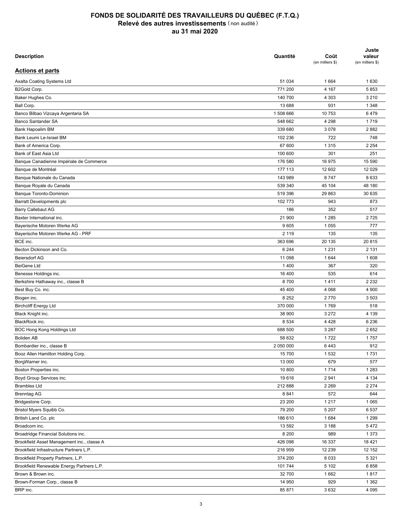| <b>Description</b>                         | Quantité  | Coût<br>(en milliers \$) | Juste<br>valeur<br>(en milliers \$) |
|--------------------------------------------|-----------|--------------------------|-------------------------------------|
| <b>Actions et parts</b>                    |           |                          |                                     |
| Axalta Coating Systems Ltd                 | 51 034    | 1 6 6 4                  | 1630                                |
| B2Gold Corp.                               | 771 200   | 4 1 6 7                  | 5853                                |
| Baker Hughes Co.                           | 140 700   | 4 3 0 3                  | 3 2 1 0                             |
| Ball Corp.                                 | 13 688    | 931                      | 1 3 4 8                             |
| Banco Bilbao Vizcaya Argentaria SA         | 1508666   | 10 753                   | 6479                                |
| <b>Banco Santander SA</b>                  | 548 662   | 4 2 9 8                  | 1719                                |
| <b>Bank Hapoalim BM</b>                    | 339 680   | 3 0 7 8                  | 2882                                |
| Bank Leumi Le-Israel BM                    | 102 236   | 722                      | 748                                 |
| Bank of America Corp.                      | 67 600    | 1 3 1 5                  | 2 2 5 4                             |
|                                            |           |                          |                                     |
| Bank of East Asia Ltd                      | 100 600   | 301                      | 251                                 |
| Banque Canadienne Impériale de Commerce    | 176 580   | 16 975                   | 15 590                              |
| Banque de Montréal                         | 177 113   | 12 602                   | 12 0 29                             |
| Banque Nationale du Canada                 | 143 989   | 8747                     | 8633                                |
| Banque Royale du Canada                    | 539 340   | 45 104                   | 48 180                              |
| <b>Banque Toronto-Dominion</b>             | 519 396   | 29 863                   | 30 635                              |
| Barratt Developments plc                   | 102 773   | 943                      | 873                                 |
| Barry Callebaut AG                         | 186       | 352                      | 517                                 |
| Baxter International inc.                  | 21 900    | 1 2 8 5                  | 2725                                |
| Bayerische Motoren Werke AG                | 9605      | 1 0 5 5                  | 777                                 |
| Bayerische Motoren Werke AG - PRF          | 2 1 1 9   | 135                      | 135                                 |
| BCE inc.                                   | 363 696   | 20 135                   | 20815                               |
| Becton Dickinson and Co.                   | 6 2 4 4   | 1 2 3 1                  | 2 1 3 1                             |
| <b>Beiersdorf AG</b>                       | 11 098    | 1 644                    | 1608                                |
| <b>BeiGene Ltd</b>                         | 1 4 0 0   | 367                      | 320                                 |
| Benesse Holdings inc.                      | 16 400    | 535                      | 614                                 |
| Berkshire Hathaway inc., classe B          | 8700      | 1411                     | 2 2 3 2                             |
| Best Buy Co. inc.                          | 45 400    | 4 0 68                   | 4 900                               |
| Biogen inc.                                | 8 2 5 2   | 2770                     | 3 5 0 3                             |
| <b>Birchcliff Energy Ltd</b>               | 370 000   | 1769                     | 518                                 |
| Black Knight inc.                          | 38 900    | 3 2 7 2                  | 4 1 3 9                             |
| BlackRock inc.                             | 8 5 3 4   | 4 4 2 8                  | 6 2 3 6                             |
| BOC Hong Kong Holdings Ltd                 | 688 500   | 3 2 8 7                  | 2652                                |
|                                            |           |                          |                                     |
| <b>Boliden AB</b>                          | 58 632    | 1722                     | 1757                                |
| Bombardier inc., classe B                  | 2 050 000 | 6443                     | 912                                 |
| Booz Allen Hamilton Holding Corp.          | 15 700    | 1532                     | 1731                                |
| BorgWarner inc.                            | 13 000    | 679                      | 577                                 |
| Boston Properties inc.                     | 10 800    | 1714                     | 1 2 8 3                             |
| Boyd Group Services inc.                   | 19616     | 2941                     | 4 1 3 4                             |
| <b>Brambles Ltd</b>                        | 212 888   | 2 2 6 9                  | 2 2 7 4                             |
| <b>Brenntag AG</b>                         | 8841      | 572                      | 644                                 |
| Bridgestone Corp.                          | 23 200    | 1 2 1 7                  | 1 0 6 5                             |
| Bristol Myers Squibb Co.                   | 79 200    | 5 207                    | 6537                                |
| British Land Co. plc                       | 186 610   | 1684                     | 1 2 9 9                             |
| Broadcom inc.                              | 13 592    | 3 1 8 8                  | 5472                                |
| Broadridge Financial Solutions inc.        | 8 2 0 0   | 989                      | 1 3 7 3                             |
| Brookfield Asset Management inc., classe A | 426 098   | 16 337                   | 18 4 21                             |
| Brookfield Infrastructure Partners L.P.    | 216 959   | 12 239                   | 12 152                              |
| Brookfield Property Partners, L.P.         | 374 200   | 8 0 3 3                  | 5 3 2 1                             |
| Brookfield Renewable Energy Partners L.P.  | 101744    | 5 1 0 2                  | 6858                                |
| Brown & Brown inc.                         | 32 700    | 1662                     | 1817                                |
| Brown-Forman Corp., classe B               | 14 950    | 929                      | 1 3 6 2                             |
| BRP inc.                                   | 85 871    | 3632                     | 4 0 9 5                             |
|                                            |           |                          |                                     |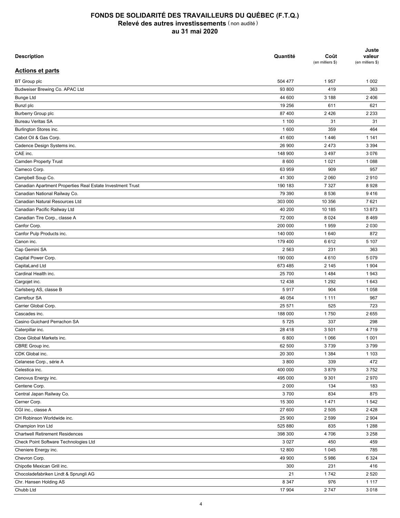| <b>Description</b>                                         | Quantité | Coût<br>(en milliers \$) | Juste<br>valeur<br>(en milliers \$) |
|------------------------------------------------------------|----------|--------------------------|-------------------------------------|
| <b>Actions et parts</b>                                    |          |                          |                                     |
| <b>BT</b> Group plc                                        | 504 477  | 1957                     | 1 0 0 2                             |
| Budweiser Brewing Co. APAC Ltd                             | 93 800   | 419                      | 363                                 |
| <b>Bunge Ltd</b>                                           | 44 600   | 3 188                    | 2 4 0 6                             |
| Bunzl plc                                                  | 19 25 6  | 611                      | 621                                 |
| <b>Burberry Group plc</b>                                  | 87 400   | 2 4 2 6                  | 2 2 3 3                             |
| <b>Bureau Veritas SA</b>                                   | 1 100    | 31                       | 31                                  |
| Burlington Stores inc.                                     | 1600     | 359                      | 464                                 |
| Cabot Oil & Gas Corp.                                      | 41 600   | 1446                     | 1 1 4 1                             |
| Cadence Design Systems inc.                                | 26 900   | 2 4 7 3                  | 3 3 9 4                             |
| CAE inc.                                                   | 148 900  | 3 4 9 7                  | 3076                                |
| <b>Camden Property Trust</b>                               | 8 600    | 1 0 2 1                  | 1 0 8 8                             |
| Cameco Corp.                                               | 63 959   | 909                      | 957                                 |
| Campbell Soup Co.                                          | 41 300   | 2 0 6 0                  | 2910                                |
| Canadian Apartment Properties Real Estate Investment Trust | 190 183  | 7 3 2 7                  | 8928                                |
|                                                            | 79 390   | 8 5 3 6                  | 9416                                |
| Canadian National Railway Co.                              |          |                          |                                     |
| Canadian Natural Resources Ltd                             | 303 000  | 10 356                   | 7621                                |
| Canadian Pacific Railway Ltd                               | 40 200   | 10 185                   | 13873                               |
| Canadian Tire Corp., classe A                              | 72 000   | 8 0 2 4                  | 8 4 6 9                             |
| Canfor Corp.                                               | 200 000  | 1959                     | 2 0 3 0                             |
| Canfor Pulp Products inc.                                  | 140 000  | 1640                     | 872                                 |
| Canon inc.                                                 | 179 400  | 6612                     | 5 107                               |
| Cap Gemini SA                                              | 2 5 6 3  | 231                      | 363                                 |
| Capital Power Corp.                                        | 190 000  | 4610                     | 5 0 7 9                             |
| CapitaLand Ltd                                             | 673 485  | 2 1 4 5                  | 1 9 0 4                             |
| Cardinal Health inc.                                       | 25 700   | 1484                     | 1943                                |
| Cargojet inc.                                              | 12 4 38  | 1 2 9 2                  | 1643                                |
| Carlsberg AS, classe B                                     | 5917     | 904                      | 1 0 5 8                             |
| Carrefour SA                                               | 46 054   | 1 1 1 1                  | 967                                 |
| Carrier Global Corp.                                       | 25 571   | 525                      | 723                                 |
| Cascades inc.                                              | 188 000  | 1750                     | 2655                                |
| Casino Guichard Perrachon SA                               | 5725     | 337                      | 298                                 |
| Caterpillar inc.                                           | 28 4 18  | 3501                     | 4719                                |
| Cboe Global Markets inc.                                   | 6800     | 1 0 6 6                  | 1 0 0 1                             |
| CBRE Group inc.                                            | 62 500   | 3739                     | 3799                                |
| CDK Global inc.                                            | 20 300   | 1 3 8 4                  | 1 1 0 3                             |
| Celanese Corp., série A                                    | 3 800    | 339                      | 472                                 |
| Celestica inc.                                             | 400 000  | 3879                     | 3752                                |
| Cenovus Energy inc.                                        | 495 000  | 9 3 0 1                  | 2970                                |
| Centene Corp.                                              | 2 0 0 0  | 134                      | 183                                 |
|                                                            |          |                          |                                     |
| Central Japan Railway Co.                                  | 3700     | 834                      | 875                                 |
| Cerner Corp.                                               | 15 300   | 1471                     | 1542                                |
| CGI inc., classe A                                         | 27 600   | 2 5 0 5                  | 2428                                |
| CH Robinson Worldwide inc.                                 | 25 900   | 2 5 9 9                  | 2 9 0 4                             |
| Champion Iron Ltd                                          | 525 880  | 835                      | 1 2 8 8                             |
| <b>Chartwell Retirement Residences</b>                     | 398 300  | 4706                     | 3 2 5 8                             |
| Check Point Software Technologies Ltd                      | 3 0 2 7  | 450                      | 459                                 |
| Cheniere Energy inc.                                       | 12 800   | 1 0 4 5                  | 785                                 |
| Chevron Corp.                                              | 49 900   | 5986                     | 6 3 2 4                             |
| Chipotle Mexican Grill inc.                                | 300      | 231                      | 416                                 |
| Chocoladefabriken Lindt & Sprungli AG                      | 21       | 1742                     | 2 5 2 0                             |
| Chr. Hansen Holding AS                                     | 8 3 4 7  | 976                      | 1 1 1 7                             |
| Chubb Ltd                                                  | 17 904   | 2747                     | 3018                                |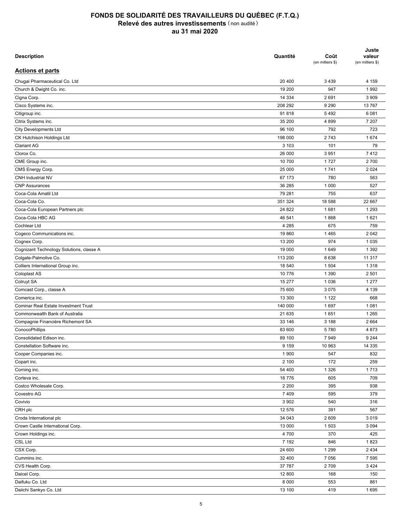| <b>Description</b>                                  | Quantité | Coût<br>(en milliers \$) | Juste<br>valeur<br>(en milliers \$) |
|-----------------------------------------------------|----------|--------------------------|-------------------------------------|
| <b>Actions et parts</b>                             |          |                          |                                     |
| Chugai Pharmaceutical Co. Ltd                       | 20 400   | 3 4 3 9                  | 4 159                               |
| Church & Dwight Co. inc.                            | 19 200   | 947                      | 1992                                |
| Cigna Corp.                                         | 14 3 34  | 2691                     | 3 9 0 9                             |
| Cisco Systems inc.                                  | 208 292  | 9 2 9 0                  | 13767                               |
| Citigroup inc.                                      | 91818    | 5 4 9 2                  | 6081                                |
| Citrix Systems inc.                                 | 35 200   | 4 8 9 9                  | 7 207                               |
| <b>City Developments Ltd</b>                        | 96 100   | 792                      | 723                                 |
| CK Hutchison Holdings Ltd                           | 198 000  | 2743                     | 1674                                |
| <b>Clariant AG</b>                                  | 3 1 0 3  | 101                      | 79                                  |
| Clorox Co.                                          | 26 000   | 3 9 5 1                  | 7412                                |
| CME Group inc.                                      | 10 700   | 1727                     | 2700                                |
| CMS Energy Corp.                                    | 25 000   | 1741                     | 2 0 2 4                             |
| <b>CNH Industrial NV</b>                            | 67 173   | 780                      | 563                                 |
| <b>CNP Assurances</b>                               | 36 285   | 1 0 0 0                  | 527                                 |
| Coca-Cola Amatil Ltd                                | 79 281   | 755                      | 637                                 |
| Coca-Cola Co.                                       | 351 324  | 18 588                   | 22 667                              |
| Coca-Cola European Partners plc                     | 24 822   | 1681                     | 1 2 9 3                             |
| Coca-Cola HBC AG                                    | 46 541   | 1868                     | 1621                                |
| Cochlear Ltd                                        | 4 2 8 5  | 675                      | 759                                 |
| Cogeco Communications inc.                          | 19860    | 1 4 6 5                  | 2 0 4 2                             |
| Cognex Corp.                                        | 13 200   | 974                      | 1 0 3 5                             |
| Cognizant Technology Solutions, classe A            | 19 000   | 1649                     | 1 3 9 2                             |
| Colgate-Palmolive Co.                               | 113 200  | 8638                     | 11 317                              |
| Colliers International Group inc.                   | 18 540   | 1 504                    | 1 3 1 8                             |
| Coloplast AS                                        | 10 776   | 1 3 9 0                  | 2 5 0 1                             |
| Colruyt SA                                          | 15 277   | 1 0 3 6                  | 1 2 7 7                             |
| Comcast Corp., classe A                             | 75 600   | 3 0 7 5                  | 4 1 3 9                             |
| Comerica inc.                                       | 13 300   | 1 1 2 2                  | 668                                 |
| <b>Cominar Real Estate Investment Trust</b>         | 140 000  | 1697                     | 1 0 8 1                             |
| Commonwealth Bank of Australia                      | 21 635   | 1651                     | 1 2 6 5                             |
|                                                     |          |                          | 2 6 6 4                             |
| Compagnie Financière Richemont SA<br>ConocoPhillips | 33 146   | 3 1 8 8                  |                                     |
|                                                     | 83 600   | 5780                     | 4873                                |
| Consolidated Edison inc.                            | 89 100   | 7949                     | 9 2 4 4                             |
| Constellation Software inc.                         | 9 1 5 9  | 10 963                   | 14 3 35                             |
| Cooper Companies inc.                               | 1 900    | 547                      | 832                                 |
| Copart inc.                                         | 2 100    | 172                      | 259                                 |
| Corning inc.                                        | 54 400   | 1 3 2 6                  | 1713                                |
| Corteva inc.                                        | 18776    | 605                      | 709                                 |
| Costco Wholesale Corp.                              | 2 2 0 0  | 395                      | 938                                 |
| Covestro AG                                         | 7409     | 595                      | 379                                 |
| Covivio                                             | 3 9 0 2  | 540                      | 316                                 |
| CRH plc                                             | 12 576   | 391                      | 567                                 |
| Croda International plc                             | 34 043   | 2 609                    | 3 0 1 9                             |
| Crown Castle International Corp.                    | 13 000   | 1 503                    | 3 0 9 4                             |
| Crown Holdings inc.                                 | 4700     | 370                      | 425                                 |
| CSL Ltd                                             | 7 1 9 2  | 846                      | 1823                                |
| CSX Corp.                                           | 24 600   | 1 2 9 9                  | 2 4 3 4                             |
| Cummins inc.                                        | 32 400   | 7 0 5 6                  | 7 5 9 5                             |
| CVS Health Corp.                                    | 37 787   | 2709                     | 3 4 2 4                             |
| Daicel Corp.                                        | 12 800   | 168                      | 150                                 |
| Daifuku Co. Ltd                                     | 8 0 0 0  | 553                      | 861                                 |
| Daiichi Sankyo Co. Ltd                              | 13 100   | 419                      | 1695                                |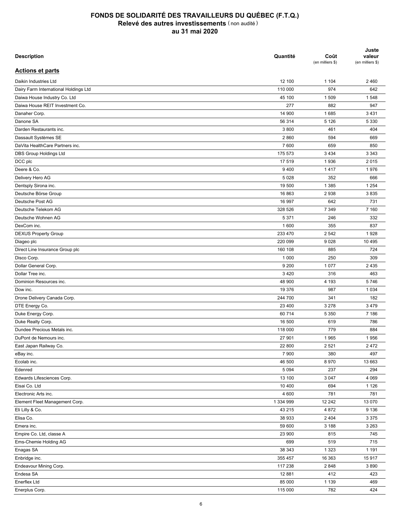| <b>Description</b>                    | Quantité  | Coût<br>(en milliers \$) | Juste<br>valeur<br>(en milliers \$) |
|---------------------------------------|-----------|--------------------------|-------------------------------------|
| <b>Actions et parts</b>               |           |                          |                                     |
| Daikin Industries Ltd                 | 12 100    | 1 1 0 4                  | 2460                                |
| Dairy Farm International Holdings Ltd | 110 000   | 974                      | 642                                 |
| Daiwa House Industry Co. Ltd          | 45 100    | 1 509                    | 1548                                |
| Daiwa House REIT Investment Co.       | 277       | 882                      | 947                                 |
| Danaher Corp.                         | 14 900    | 1685                     | 3 4 3 1                             |
| Danone SA                             | 56 314    | 5 1 2 6                  | 5 3 3 0                             |
| Darden Restaurants inc.               | 3800      | 461                      | 404                                 |
| Dassault Systèmes SE                  | 2860      | 594                      | 669                                 |
| DaVita HealthCare Partners inc.       | 7600      | 659                      | 850                                 |
| DBS Group Holdings Ltd                | 175 573   | 3 4 3 4                  | 3 3 4 3                             |
| DCC plc                               | 17 519    | 1936                     | 2015                                |
| Deere & Co.                           | 9 4 0 0   | 1417                     | 1976                                |
| Delivery Hero AG                      | 5 0 28    | 352                      | 666                                 |
| Dentsply Sirona inc.                  | 19 500    | 1 3 8 5                  | 1 2 5 4                             |
| Deutsche Börse Group                  | 16 863    | 2938                     | 3835                                |
| Deutsche Post AG                      | 16 997    | 642                      | 731                                 |
| Deutsche Telekom AG                   | 328 526   | 7 3 4 9                  | 7 160                               |
| Deutsche Wohnen AG                    | 5 3 7 1   | 246                      | 332                                 |
| DexCom inc.                           | 1600      | 355                      | 837                                 |
| <b>DEXUS Property Group</b>           | 233 470   | 2 5 4 2                  | 1928                                |
| Diageo plc                            | 220 099   | 9028                     | 10 4 95                             |
| Direct Line Insurance Group plc       | 160 108   | 885                      | 724                                 |
| Disco Corp.                           | 1 0 0 0   | 250                      | 309                                 |
| Dollar General Corp.                  | 9 2 0 0   | 1 0 7 7                  | 2 4 3 5                             |
| Dollar Tree inc.                      | 3 4 2 0   | 316                      | 463                                 |
| Dominion Resources inc.               | 48 900    | 4 193                    | 5746                                |
| Dow inc.                              | 19 376    | 987                      | 1 0 3 4                             |
| Drone Delivery Canada Corp.           | 244 700   | 341                      | 182                                 |
| DTE Energy Co.                        | 23 400    | 3 2 7 8                  | 3 4 7 9                             |
|                                       |           |                          |                                     |
| Duke Energy Corp.                     | 60 714    | 5 3 5 0                  | 7 186                               |
| Duke Realty Corp.                     | 16 500    | 619                      | 786                                 |
| Dundee Precious Metals inc.           | 118 000   | 779                      | 884                                 |
| DuPont de Nemours inc.                | 27 901    | 1965                     | 1956                                |
| East Japan Railway Co.                | 22 800    | 2 5 2 1                  | 2 4 7 2                             |
| eBay inc.                             | 7 900     | 380                      | 497                                 |
| Ecolab inc.                           | 46 500    | 8970                     | 13 663                              |
| Edenred                               | 5 0 9 4   | 237                      | 294                                 |
| Edwards Lifesciences Corp.            | 13 100    | 3 0 4 7                  | 4 0 6 9                             |
| Eisai Co. Ltd                         | 10 400    | 694                      | 1 1 2 6                             |
| Electronic Arts inc.                  | 4 600     | 781                      | 781                                 |
| Element Fleet Management Corp.        | 1 334 999 | 12 24 2                  | 13 070                              |
| Eli Lilly & Co.                       | 43 215    | 4 8 7 2                  | 9 1 3 6                             |
| Elisa Co.                             | 38 933    | 2 4 0 4                  | 3 3 7 5                             |
| Emera inc.                            | 59 600    | 3 1 8 8                  | 3 2 6 3                             |
| Empire Co. Ltd, classe A              | 23 900    | 815                      | 745                                 |
| Ems-Chemie Holding AG                 | 699       | 519                      | 715                                 |
| Enagas SA                             | 38 343    | 1 3 2 3                  | 1 1 9 1                             |
| Enbridge inc.                         | 355 457   | 16 363                   | 15917                               |
| Endeavour Mining Corp.                | 117 238   | 2848                     | 3890                                |
| Endesa SA                             | 12 881    | 412                      | 423                                 |
| Enerflex Ltd                          | 85 000    | 1 1 3 9                  | 469                                 |
| Enerplus Corp.                        | 115 000   | 782                      | 424                                 |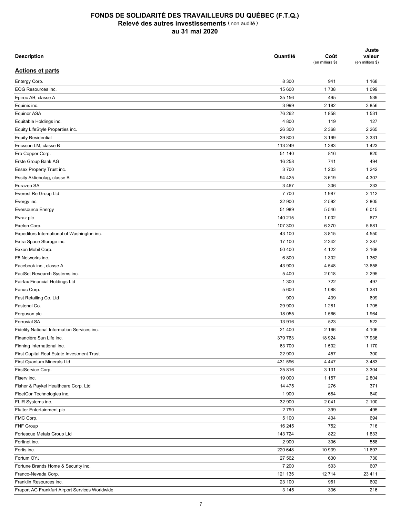| <b>Description</b>                              | Quantité | Coût<br>(en milliers \$) | Juste<br>valeur<br>(en milliers \$) |
|-------------------------------------------------|----------|--------------------------|-------------------------------------|
| <b>Actions et parts</b>                         |          |                          |                                     |
| Entergy Corp.                                   | 8 3 0 0  | 941                      | 1 1 6 8                             |
| EOG Resources inc.                              | 15 600   | 1738                     | 1 0 9 9                             |
| Epiroc AB, classe A                             | 35 156   | 495                      | 539                                 |
| Equinix inc.                                    | 3 9 9 9  | 2 182                    | 3856                                |
| Equinor ASA                                     | 76 262   | 1858                     | 1531                                |
| Equitable Holdings inc.                         | 4 800    | 119                      | 127                                 |
| Equity LifeStyle Properties inc.                | 26 300   | 2 3 6 8                  | 2 2 6 5                             |
| <b>Equity Residential</b>                       | 39 800   | 3 1 9 9                  | 3 3 3 1                             |
| Ericsson LM, classe B                           | 113 249  | 1 3 8 3                  | 1423                                |
| Ero Copper Corp.                                | 51 140   | 816                      | 820                                 |
| Erste Group Bank AG                             | 16 258   | 741                      | 494                                 |
| Essex Property Trust inc.                       | 3700     | 1 2 0 3                  | 1 2 4 2                             |
|                                                 |          |                          |                                     |
| Essity Aktiebolag, classe B                     | 94 4 25  | 3619                     | 4 3 0 7                             |
| Eurazeo SA                                      | 3 4 6 7  | 306                      | 233                                 |
| Everest Re Group Ltd                            | 7700     | 1987                     | 2 1 1 2                             |
| Evergy inc.                                     | 32 900   | 2 5 9 2                  | 2805                                |
| <b>Eversource Energy</b>                        | 51 989   | 5 5 4 6                  | 6015                                |
| Evraz plc                                       | 140 215  | 1 0 0 2                  | 677                                 |
| Exelon Corp.                                    | 107 300  | 6 3 7 0                  | 5681                                |
| Expeditors International of Washington inc.     | 43 100   | 3815                     | 4 5 5 0                             |
| Extra Space Storage inc.                        | 17 100   | 2 3 4 2                  | 2 2 8 7                             |
| Exxon Mobil Corp.                               | 50 400   | 4 1 2 2                  | 3 1 6 8                             |
| F5 Networks inc.                                | 6800     | 1 3 0 2                  | 1 3 6 2                             |
| Facebook inc., classe A                         | 43 900   | 4 5 4 8                  | 13 658                              |
| FactSet Research Systems inc.                   | 5 4 0 0  | 2018                     | 2 2 9 5                             |
| Fairfax Financial Holdings Ltd                  | 1 300    | 722                      | 497                                 |
| Fanuc Corp.                                     | 5 600    | 1 0 8 8                  | 1 3 8 1                             |
| Fast Retailing Co. Ltd                          | 900      | 439                      | 699                                 |
| Fastenal Co.                                    | 29 900   | 1 2 8 1                  | 1705                                |
| Ferguson plc                                    | 18 055   | 1566                     | 1964                                |
| <b>Ferrovial SA</b>                             | 13916    | 523                      | 522                                 |
| Fidelity National Information Services inc.     | 21 400   | 2 166                    | 4 10 6                              |
| Financière Sun Life inc.                        | 379 763  | 18 9 24                  | 17 936                              |
| Finning International inc.                      | 63 700   | 1 502                    | 1 1 7 0                             |
| First Capital Real Estate Investment Trust      | 22 900   | 457                      | 300                                 |
| First Quantum Minerals Ltd                      | 431 596  | 4 4 4 7                  | 3 4 8 3                             |
| FirstService Corp.                              | 25 816   | 3 1 3 1                  | 3 3 0 4                             |
| Fiserv inc.                                     | 19 000   | 1 1 5 7                  | 2 8 0 4                             |
| Fisher & Paykel Healthcare Corp. Ltd            | 14 475   | 276                      | 371                                 |
| FleetCor Technologies inc.                      | 1 900    | 684                      | 640                                 |
| FLIR Systems inc.                               | 32 900   | 2 0 4 1                  | 2 100                               |
| Flutter Entertainment plc                       | 2790     | 399                      | 495                                 |
| FMC Corp.                                       | 5 100    | 404                      | 694                                 |
| <b>FNF Group</b>                                | 16 245   | 752                      | 716                                 |
| Fortescue Metals Group Ltd                      | 143724   | 822                      | 1833                                |
| Fortinet inc.                                   | 2 9 0 0  | 306                      | 558                                 |
| Fortis inc.                                     | 220 648  | 10 939                   | 11 697                              |
| Fortum OYJ                                      | 27 562   | 630                      | 730                                 |
| Fortune Brands Home & Security inc.             | 7 200    | 503                      | 607                                 |
| Franco-Nevada Corp.                             | 121 135  | 12714                    | 23 4 11                             |
|                                                 |          |                          |                                     |
| Franklin Resources inc.                         | 23 100   | 961                      | 602                                 |
| Fraport AG Frankfurt Airport Services Worldwide | 3 1 4 5  | 336                      | 216                                 |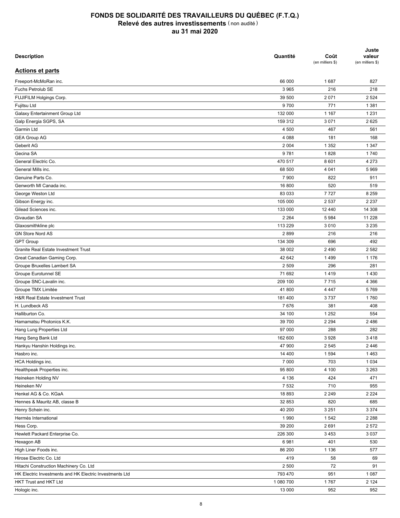| <b>Description</b>                                      | Quantité  | Coût<br>(en milliers \$) | Juste<br>valeur<br>(en milliers \$) |
|---------------------------------------------------------|-----------|--------------------------|-------------------------------------|
| <b>Actions et parts</b>                                 |           |                          |                                     |
| Freeport-McMoRan inc.                                   | 66 000    | 1687                     | 827                                 |
| Fuchs Petrolub SE                                       | 3 9 6 5   | 216                      | 218                                 |
| FUJIFILM Holgings Corp.                                 | 39 500    | 2 0 7 1                  | 2 5 24                              |
| Fujitsu Ltd                                             | 9700      | 771                      | 1 3 8 1                             |
| Galaxy Entertainment Group Ltd                          | 132 000   | 1 1 6 7                  | 1 2 3 1                             |
| Galp Energia SGPS, SA                                   | 159 312   | 3 0 7 1                  | 2625                                |
| Garmin Ltd                                              | 4 500     | 467                      | 561                                 |
| <b>GEA Group AG</b>                                     | 4 0 8 8   | 181                      | 168                                 |
| Geberit AG                                              | 2 0 0 4   | 1 3 5 2                  | 1 3 4 7                             |
| Gecina SA                                               | 9781      | 1828                     | 1740                                |
| General Electric Co.                                    | 470 517   | 8 601                    | 4 2 7 3                             |
| General Mills inc.                                      | 68 500    | 4 0 4 1                  | 5969                                |
| Genuine Parts Co.                                       | 7 900     | 822                      | 911                                 |
| Genworth MI Canada inc.                                 | 16 800    | 520                      | 519                                 |
|                                                         |           |                          |                                     |
| George Weston Ltd                                       | 83 033    | 7727                     | 8 2 5 9                             |
| Gibson Energy inc.                                      | 105 000   | 2 5 3 7                  | 2 2 3 7                             |
| Gilead Sciences inc.                                    | 133 000   | 12 440                   | 14 308                              |
| Givaudan SA                                             | 2 2 6 4   | 5984                     | 11 228                              |
| Glaxosmithkline plc                                     | 113 229   | 3 0 1 0                  | 3 2 3 5                             |
| <b>GN Store Nord AS</b>                                 | 2899      | 216                      | 216                                 |
| <b>GPT Group</b>                                        | 134 309   | 696                      | 492                                 |
| <b>Granite Real Estate Investment Trust</b>             | 38 002    | 2 4 9 0                  | 2 5 8 2                             |
| Great Canadian Gaming Corp.                             | 42 642    | 1499                     | 1 1 7 6                             |
| Groupe Bruxelles Lambert SA                             | 2 5 0 9   | 296                      | 281                                 |
| Groupe Eurotunnel SE                                    | 71 692    | 1419                     | 1 4 3 0                             |
| Groupe SNC-Lavalin inc.                                 | 209 100   | 7715                     | 4 3 6 6                             |
| Groupe TMX Limitée                                      | 41 800    | 4 4 4 7                  | 5769                                |
| H&R Real Estate Investment Trust                        | 181 400   | 3737                     | 1760                                |
| H. Lundbeck AS                                          | 7676      | 381                      | 408                                 |
| Halliburton Co.                                         | 34 100    | 1 2 5 2                  | 554                                 |
| Hamamatsu Photonics K.K.                                | 39 700    | 2 2 9 4                  | 2486                                |
| Hang Lung Properties Ltd                                | 97 000    | 288                      | 282                                 |
| Hang Seng Bank Ltd                                      | 162 600   | 3928                     | 3418                                |
| Hankyu Hanshin Holdings inc.                            | 47 900    | 2 5 4 5                  | 2 4 4 6                             |
| Hasbro inc.                                             | 14 400    | 1 5 9 4                  | 1463                                |
| HCA Holdings inc.                                       | 7 000     | 703                      | 1 0 3 4                             |
| Healthpeak Properties inc.                              | 95 800    | 4 100                    | 3 2 6 3                             |
| Heineken Holding NV                                     | 4 1 3 6   | 424                      | 471                                 |
| Heineken NV                                             | 7 5 3 2   | 710                      | 955                                 |
| Henkel AG & Co. KGaA                                    | 18 893    | 2 2 4 9                  | 2 2 2 4                             |
| Hennes & Mauritz AB, classe B                           | 32 853    | 820                      | 685                                 |
| Henry Schein inc.                                       | 40 200    | 3 2 5 1                  | 3 3 7 4                             |
| Hermès International                                    | 1990      | 1542                     | 2 2 8 8                             |
| Hess Corp.                                              | 39 200    | 2691                     | 2572                                |
| Hewlett Packard Enterprise Co.                          | 226 300   | 3 4 5 3                  | 3 0 3 7                             |
| Hexagon AB                                              | 6981      | 401                      | 530                                 |
| High Liner Foods inc.                                   | 86 200    | 1 1 3 6                  | 577                                 |
| Hirose Electric Co. Ltd                                 | 419       | 58                       | 69                                  |
| Hitachi Construction Machinery Co. Ltd                  | 2 500     | 72                       | 91                                  |
| HK Electric Investments and HK Electric Investments Ltd | 793 470   | 951                      | 1 0 8 7                             |
| HKT Trust and HKT Ltd                                   | 1 080 700 | 1767                     | 2 1 2 4                             |
| Hologic inc.                                            | 13 000    | 952                      | 952                                 |
|                                                         |           |                          |                                     |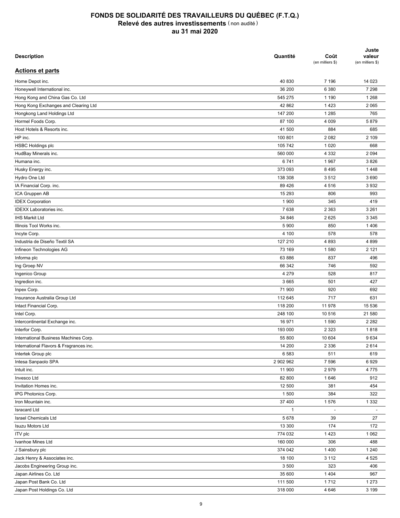| <b>Description</b>                      | Quantité     | Coût<br>(en milliers \$) | Juste<br>valeur<br>(en milliers \$) |
|-----------------------------------------|--------------|--------------------------|-------------------------------------|
| <b>Actions et parts</b>                 |              |                          |                                     |
| Home Depot inc.                         | 40 830       | 7 196                    | 14 023                              |
| Honeywell International inc.            | 36 200       | 6 3 8 0                  | 7 2 9 8                             |
| Hong Kong and China Gas Co. Ltd         | 545 275      | 1 1 9 0                  | 1 2 6 8                             |
| Hong Kong Exchanges and Clearing Ltd    | 42 862       | 1 4 2 3                  | 2 0 6 5                             |
| Hongkong Land Holdings Ltd              | 147 200      | 1 2 8 5                  | 765                                 |
| Hormel Foods Corp.                      | 87 100       | 4 0 0 9                  | 5879                                |
| Host Hotels & Resorts inc.              | 41 500       | 884                      | 685                                 |
| HP inc.                                 | 100 801      | 2 0 8 2                  | 2 109                               |
| <b>HSBC Holdings plc</b>                | 105 742      | 1 0 2 0                  | 668                                 |
| HudBay Minerals inc.                    | 560 000      | 4 3 3 2                  | 2 0 9 4                             |
| Humana inc.                             | 6741         | 1967                     | 3826                                |
| Husky Energy inc.                       | 373 093      | 8 4 9 5                  | 1448                                |
| Hydro One Ltd                           | 138 308      | 3512                     | 3690                                |
| IA Financial Corp. inc.                 | 89 4 26      | 4516                     | 3932                                |
| ICA Gruppen AB                          | 15 293       | 806                      | 993                                 |
| <b>IDEX Corporation</b>                 | 1 900        | 345                      | 419                                 |
| <b>IDEXX Laboratories inc.</b>          | 7638         | 2 3 6 3                  | 3 2 6 1                             |
|                                         |              |                          |                                     |
| <b>IHS Markit Ltd</b>                   | 34 846       | 2625                     | 3 3 4 5                             |
| Illinois Tool Works inc.                | 5 9 0 0      | 850                      | 1406                                |
| Incyte Corp.                            | 4 100        | 578                      | 578                                 |
| Industria de Diseño Textil SA           | 127 210      | 4893                     | 4899                                |
| Infineon Technologies AG                | 73 169       | 1580                     | 2 1 2 1                             |
| Informa plc                             | 63 886       | 837                      | 496                                 |
| Ing Groep NV                            | 66 342       | 746                      | 592                                 |
| Ingenico Group                          | 4 2 7 9      | 528                      | 817                                 |
| Ingredion inc.                          | 3 6 6 5      | 501                      | 427                                 |
| Inpex Corp.                             | 71 900       | 920                      | 692                                 |
| Insurance Australia Group Ltd           | 112 645      | 717                      | 631                                 |
| Intact Financial Corp.                  | 118 200      | 11 978                   | 15 536                              |
| Intel Corp.                             | 248 100      | 10 516                   | 21 580                              |
| Intercontinental Exchange inc.          | 16 971       | 1590                     | 2 2 8 2                             |
| Interfor Corp.                          | 193 000      | 2 3 2 3                  | 1818                                |
| International Business Machines Corp.   | 55 800       | 10 604                   | 9634                                |
| International Flavors & Fragrances inc. | 14 200       | 2 3 3 6                  | 2614                                |
| Intertek Group plc                      | 6583         | 511                      | 619                                 |
| Intesa Sanpaolo SPA                     | 2 902 962    | 7 5 9 6                  | 6929                                |
| Intuit inc.                             | 11 900       | 2979                     | 4775                                |
| Invesco Ltd                             | 82 800       | 1646                     | 912                                 |
| Invitation Homes inc.                   | 12 500       | 381                      | 454                                 |
| IPG Photonics Corp.                     | 1 500        | 384                      | 322                                 |
| Iron Mountain inc.                      | 37 400       | 1576                     | 1 3 3 2                             |
| <b>Isracard Ltd</b>                     | $\mathbf{1}$ | $\overline{\phantom{a}}$ |                                     |
| <b>Israel Chemicals Ltd</b>             | 5678         | 39                       | 27                                  |
| <b>Isuzu Motors Ltd</b>                 | 13 300       | 174                      | 172                                 |
| ITV plc                                 | 774 032      | 1 4 2 3                  | 1 0 6 2                             |
| Ivanhoe Mines Ltd                       | 160 000      | 306                      | 488                                 |
| J Sainsbury plc                         | 374 042      | 1 4 0 0                  | 1 2 4 0                             |
| Jack Henry & Associates inc.            | 18 100       | 3 1 1 2                  | 4 5 2 5                             |
| Jacobs Engineering Group inc.           | 3 500        | 323                      | 406                                 |
| Japan Airlines Co. Ltd                  | 35 600       | 1 4 0 4                  | 967                                 |
| Japan Post Bank Co. Ltd                 | 111 500      | 1712                     | 1 2 7 3                             |
| Japan Post Holdings Co. Ltd             | 318 000      | 4 6 4 6                  | 3 1 9 9                             |
|                                         |              |                          |                                     |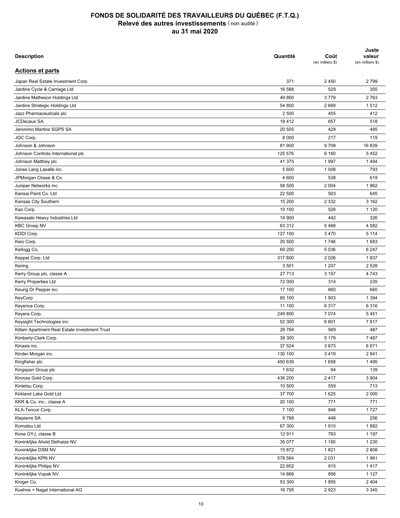| <b>Description</b>                            | Quantité | Coût<br>(en milliers \$) | Juste<br>valeur<br>(en milliers \$) |
|-----------------------------------------------|----------|--------------------------|-------------------------------------|
| <b>Actions et parts</b>                       |          |                          |                                     |
| Japan Real Estate Investment Corp.            | 371      | 2 4 5 0                  | 2799                                |
| Jardine Cycle & Carriage Ltd                  | 16 588   | 529                      | 355                                 |
| Jardine Matheson Holdings Ltd                 | 49 800   | 3779                     | 2763                                |
| Jardine Strategic Holdings Ltd                | 54 800   | 2669                     | 1512                                |
| Jazz Pharmaceuticals plc                      | 2 500    | 455                      | 412                                 |
| <b>JCDecaux SA</b>                            | 18 4 12  | 657                      | 518                                 |
| Jeronimo Martins SGPS SA                      | 20 505   | 428                      | 485                                 |
| JGC Corp.                                     | 8 0 0 0  | 217                      | 119                                 |
| Johnson & Johnson                             | 81 900   | 9709                     | 16839                               |
| Johnson Controls International plc            | 125 576  | 6 1 6 0                  | 5452                                |
| Johnson Matthey plc                           | 41 375   | 1 9 9 7                  | 1494                                |
| Jones Lang Lasalle inc.                       | 5 600    | 1 0 0 8                  | 793                                 |
| JPMorgan Chase & Co.                          | 4 600    | 538                      | 619                                 |
| Juniper Networks inc.                         | 58 500   | 2 0 0 4                  | 1962                                |
| Kansai Paint Co. Ltd                          | 22 500   | 503                      | 645                                 |
| Kansas City Southern                          | 15 200   | 2 3 3 2                  | 3 1 6 2                             |
| Kao Corp.                                     | 10 100   | 526                      | 1 1 2 0                             |
| Kawasaki Heavy Industries Ltd                 | 14 900   | 442                      | 326                                 |
| <b>KBC Groep NV</b>                           | 63 312   | 5468                     | 4 5 8 2                             |
| KDDI Corp.                                    | 127 100  | 3 4 7 0                  | 5 1 1 4                             |
|                                               | 20 500   |                          | 1683                                |
| Keio Corp.                                    |          | 1746                     |                                     |
| Kellogg Co.                                   | 69 200   | 5 0 36                   | 6 2 4 7                             |
| Keppel Corp. Ltd                              | 317800   | 2 0 2 6                  | 1837                                |
| Kering                                        | 3 5 0 1  | 1 207                    | 2 5 2 8                             |
| Kerry Group plc, classe A                     | 27 713   | 3 1 5 7                  | 4743                                |
| Kerry Properties Ltd                          | 72 000   | 314                      | 235                                 |
| Keurig Dr Pepper inc.                         | 17 100   | 660                      | 660                                 |
| KeyCorp                                       | 85 100   | 1903                     | 1 3 9 4                             |
| Keyence Corp.                                 | 11 100   | 6 3 1 7                  | 6316                                |
| Keyera Corp.                                  | 249 800  | 7 0 7 4                  | 5451                                |
| Keysight Technologies inc.                    | 52 300   | 6801                     | 7817                                |
| Killam Apartment Real Estate Investment Trust | 28 7 84  | 569                      | 487                                 |
| Kimberly-Clark Corp.                          | 38 300   | 5 1 7 9                  | 7487                                |
| Kinaxis inc.                                  | 37 524   | 3873                     | 6671                                |
| Kinder Morgan inc.                            | 130 100  | 3419                     | 2841                                |
| Kingfisher plc                                | 450 639  | 1658                     | 1495                                |
| Kingspan Group plc                            | 1 6 3 2  | 94                       | 139                                 |
| Kinross Gold Corp.                            | 436 200  | 2417                     | 3 9 0 4                             |
| Kintetsu Corp.                                | 10 500   | 559                      | 713                                 |
| Kirkland Lake Gold Ltd                        | 37 700   | 1625                     | 2 0 0 0                             |
| KKR & Co. inc., classe A                      | 20 100   | 771                      | 771                                 |
| KLA-Tencor Corp.                              | 7 100    | 846                      | 1727                                |
| Klepierre SA                                  | 9788     | 448                      | 256                                 |
| Komatsu Ltd                                   | 67 300   | 1910                     | 1882                                |
| Kone OYJ, classe B                            | 12911    | 783                      | 1 1 9 7                             |
| Koninklijke Ahold Delhaize NV                 | 35 077   | 1 1 8 5                  | 1 2 3 0                             |
| Koninklijke DSM NV                            | 15 872   | 1821                     | 2 8 0 8                             |
| Koninklijke KPN NV                            | 578 564  | 2 0 3 1                  | 1961                                |
| Koninklijke Philips NV                        | 22 602   | 915                      | 1417                                |
| Koninklijke Vopak NV                          | 14 8 66  | 856                      | 1 1 2 7                             |
| Kroger Co.                                    | 53 300   | 1855                     | 2 4 0 4                             |
| Kuehne + Nagel International AG               | 16 795   | 2923                     | 3 3 4 5                             |
|                                               |          |                          |                                     |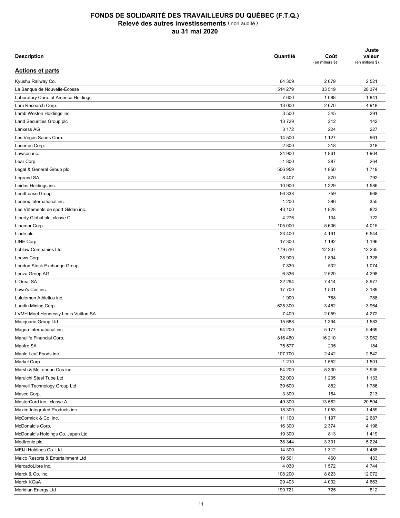| <b>Description</b>                   | Quantité | Coût<br>(en milliers \$) | Juste<br>valeur<br>(en milliers \$) |
|--------------------------------------|----------|--------------------------|-------------------------------------|
| <b>Actions et parts</b>              |          |                          |                                     |
| Kyushu Railway Co.                   | 64 309   | 2679                     | 2 5 2 1                             |
| La Banque de Nouvelle-Écosse         | 514 279  | 33 519                   | 28 374                              |
| Laboratory Corp. of America Holdings | 7600     | 1 0 8 8                  | 1841                                |
| Lam Research Corp.                   | 13 000   | 2670                     | 4918                                |
| Lamb Weston Holdings inc.            | 3 500    | 345                      | 291                                 |
| Land Securities Group plc            | 13729    | 212                      | 142                                 |
| Lanxess AG                           | 3 1 7 2  | 224                      | 227                                 |
| Las Vegas Sands Corp.                | 14 500   | 1 1 2 7                  | 961                                 |
| Lasertec Corp.                       | 2800     | 318                      | 318                                 |
| Lawson inc.                          | 24 900   | 1861                     | 1 9 0 4                             |
| Lear Corp.                           | 1800     | 287                      | 264                                 |
| Legal & General Group plc            | 506 959  | 1850                     | 1719                                |
| Legrand SA                           | 8 4 0 7  | 870                      | 792                                 |
| Leidos Holdings inc.                 | 10 900   | 1 3 2 9                  | 1586                                |
| LendLease Group                      | 56 338   | 759                      | 668                                 |
|                                      |          |                          |                                     |
| Lennox International inc.            | 1 200    | 386                      | 355                                 |
| Les Vêtements de sport Gildan inc.   | 43 100   | 1828                     | 823                                 |
| Liberty Global plc, classe C         | 4 2 7 6  | 134                      | 122                                 |
| Linamar Corp.                        | 105 000  | 5 606                    | 4 0 1 5                             |
| Linde plc                            | 23 400   | 4 1 9 1                  | 6 5 4 4                             |
| LINE Corp.                           | 17 300   | 1 1 9 2                  | 1 1 9 6                             |
| Loblaw Companies Ltd                 | 179 510  | 12 237                   | 12 235                              |
| Loews Corp.                          | 28 900   | 1894                     | 1 3 2 8                             |
| London Stock Exchange Group          | 7830     | 502                      | 1 0 7 4                             |
| Lonza Group AG                       | 6 3 3 6  | 2 5 20                   | 4 2 9 8                             |
| L'Oreal SA                           | 22 294   | 7414                     | 8977                                |
| Lowe's Cos inc.                      | 17 700   | 1 501                    | 3 189                               |
| Lululemon Athletica inc.             | 1 900    | 788                      | 788                                 |
| Lundin Mining Corp.                  | 625 300  | 3 4 5 2                  | 3 9 6 4                             |
| LVMH Moet Hennessy Louis Vuitton SA  | 7 4 0 9  | 2 0 5 9                  | 4 2 7 2                             |
| Macquarie Group Ltd                  | 15 688   | 1 3 9 4                  | 1583                                |
| Magna International inc.             | 94 200   | 5 1 7 7                  | 5469                                |
| Manulife Financial Corp.             | 816 460  | 16 210                   | 13 962                              |
| Mapfre SA                            | 75 577   | 235                      | 184                                 |
| Maple Leaf Foods inc.                | 107 700  | 2 4 4 2                  | 2842                                |
| Markel Corp.                         | 1 2 1 0  | 1 5 5 2                  | 1501                                |
| Marsh & McLennan Cos inc.            | 54 200   | 5 3 3 0                  | 7935                                |
| Maruichi Steel Tube Ltd              | 32 000   | 1 2 3 5                  | 1 1 3 3                             |
| Marvell Technology Group Ltd         | 39 600   | 882                      | 1786                                |
| Masco Corp.                          | 3 3 0 0  | 164                      | 213                                 |
| MasterCard inc., classe A            | 49 300   | 13 582                   | 20 504                              |
| Maxim Integrated Products inc.       | 18 300   | 1 0 5 3                  | 1459                                |
| McCormick & Co. inc.                 | 11 100   | 1 1 9 7                  | 2687                                |
| McDonald's Corp.                     | 16 300   | 2 3 7 4                  | 4 1 9 8                             |
| McDonald's Holdings Co. Japan Ltd    | 19 300   | 813                      | 1419                                |
| Medtronic plc                        | 38 344   | 3 3 0 1                  | 5 2 2 4                             |
| MEIJI Holdings Co. Ltd               | 14 300   | 1 3 1 2                  | 1488                                |
| Melco Resorts & Entertainment Ltd    | 19 5 61  | 460                      | 433                                 |
| MercadoLibre inc.                    | 4 0 3 0  | 1572                     | 4 7 4 4                             |
| Merck & Co. inc.                     | 108 200  | 8823                     | 12 072                              |
| Merck KGaA                           | 29 4 03  | 4 0 0 2                  | 4 6 6 3                             |
| Meridian Energy Ltd                  | 199 721  | 725                      | 812                                 |
|                                      |          |                          |                                     |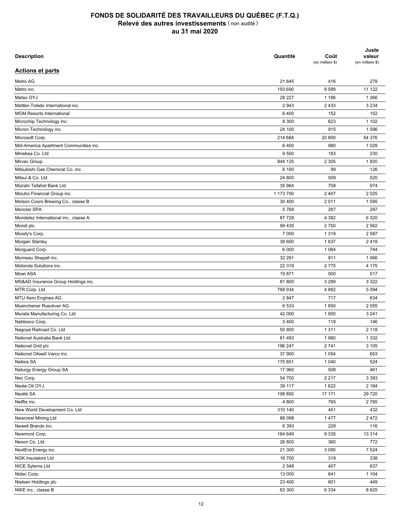| <b>Description</b>                     | Quantité  | Coût<br>(en milliers \$) | Juste<br>valeur<br>(en milliers \$) |
|----------------------------------------|-----------|--------------------------|-------------------------------------|
| <b>Actions et parts</b>                |           |                          |                                     |
| Metro AG                               | 21 645    | 416                      | 279                                 |
| Metro inc.                             | 193 690   | 9589                     | 11 122                              |
| Metso OYJ                              | 28 227    | 1 1 8 6                  | 1 2 6 6                             |
| Mettler-Toledo International inc.      | 2943      | 2 4 3 3                  | 3 2 3 4                             |
| <b>MGM Resorts International</b>       | 6400      | 152                      | 152                                 |
| Microchip Technology inc.              | 8 3 0 0   | 623                      | 1 1 0 2                             |
| Micron Technology inc.                 | 24 100    | 915                      | 1596                                |
| Microsoft Corp.                        | 214 684   | 20 800                   | 54 376                              |
| Mid-America Apartment Communities inc. | 6400      | 980                      | 1 0 2 9                             |
| Minebea Co. Ltd                        | 9 500     | 183                      | 230                                 |
| Mirvac Group                           | 844 125   | 2 3 0 5                  | 1820                                |
| Mitsubishi Gas Chemical Co. inc.       | 6 100     | 99                       | 126                                 |
|                                        |           |                          |                                     |
| Mitsui & Co. Ltd                       | 24 800    | 509                      | 520                                 |
| Mizrahi Tefahot Bank Ltd               | 35 984    | 758                      | 974                                 |
| Mizuho Financial Group inc.            | 1 173 700 | 2 4 0 7                  | 2 0 2 5                             |
| Molson Coors Brewing Co., classe B     | 30 400    | 2011                     | 1595                                |
| Moncler SPA                            | 5769      | 287                      | 297                                 |
| Mondelez International inc., classe A  | 87 728    | 4 3 8 2                  | 6 3 2 0                             |
| Mondi plc                              | 99 435    | 2750                     | 2 5 6 2                             |
| Moody's Corp.                          | 7 000     | 1 3 1 9                  | 2 5 8 7                             |
| Morgan Stanley                         | 39 600    | 1637                     | 2419                                |
| Morguard Corp.                         | 6 0 0 0   | 1 0 6 4                  | 744                                 |
| Morneau Shepell inc.                   | 32 291    | 911                      | 1 0 6 6                             |
| Motorola Solutions inc.                | 22 318    | 2775                     | 4 175                               |
| Mowi ASA                               | 19871     | 500                      | 517                                 |
| MS&AD Insurance Group Holdings inc.    | 81 800    | 3 2 8 9                  | 3 3 2 2                             |
| MTR Corp. Ltd                          | 768 934   | 4 8 8 2                  | 5 0 9 4                             |
| MTU Aero Engines AG                    | 2847      | 717                      | 634                                 |
| Muenchener Rueckver AG                 | 6 5 3 3   | 1850                     | 2 0 5 5                             |
| Murata Manufacturing Co. Ltd           | 42 000    | 1 900                    | 3 2 4 1                             |
| Nabtesco Corp.                         | 3 4 0 0   | 118                      | 146                                 |
| Nagoya Railroad Co. Ltd                | 50 800    | 1 3 1 1                  | 2 1 1 8                             |
| National Australia Bank Ltd            | 81 493    | 1960                     | 1 3 3 2                             |
| National Grid plc                      | 196 247   | 2741                     | 3 1 0 5                             |
| National Oilwell Varco inc.            | 37 900    | 1 0 5 4                  | 653                                 |
| Natixis SA                             | 170 851   | 1 0 4 0                  | 524                                 |
|                                        |           |                          |                                     |
| Naturgy Energy Group SA                | 17 960    | 508                      | 461                                 |
| Nec Corp.                              | 54 700    | 2 2 1 7                  | 3 3 9 3                             |
| Neste Oil OYJ                          | 39 117    | 1622                     | 2 1 8 4                             |
| Nestlé SA                              | 198 892   | 17 171                   | 29 7 20                             |
| Netflix inc.                           | 4 8 0 0   | 765                      | 2785                                |
| New World Development Co. Ltd          | 310 140   | 451                      | 432                                 |
| Newcrest Mining Ltd                    | 88 098    | 1 4 7 7                  | 2472                                |
| Newell Brands inc.                     | 6 3 9 3   | 229                      | 116                                 |
| Newmont Corp.                          | 164 649   | 9 3 3 5                  | 13 3 14                             |
| Nexon Co. Ltd                          | 26 800    | 360                      | 772                                 |
| NextEra Energy inc.                    | 21 300    | 3 0 9 5                  | 7 5 24                              |
| <b>NGK Insulators Ltd</b>              | 16 700    | 319                      | 338                                 |
| NICE Sytems Ltd                        | 2 5 4 8   | 407                      | 637                                 |
| Nidec Corp.                            | 13 000    | 641                      | 1 1 0 4                             |
| Nielsen Holdings plc                   | 23 400    | 601                      | 449                                 |
| NIKE inc., classe B                    | 63 300    | 6 3 3 4                  | 8625                                |
|                                        |           |                          |                                     |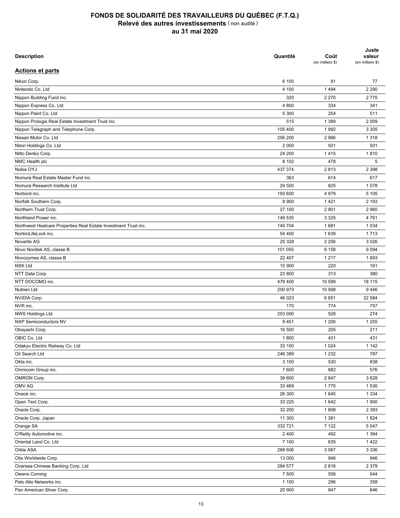| <b>Description</b>                                              | Quantité | Coût<br>(en milliers \$) | Juste<br>valeur<br>(en milliers \$) |
|-----------------------------------------------------------------|----------|--------------------------|-------------------------------------|
| <b>Actions et parts</b>                                         |          |                          |                                     |
| Nikon Corp.                                                     | 6 100    | 91                       | 77                                  |
| Nintendo Co. Ltd                                                | 4 100    | 1494                     | 2 2 9 0                             |
| Nippon Building Fund inc.                                       | 320      | 2 2 7 0                  | 2775                                |
| Nippon Express Co. Ltd                                          | 4 800    | 334                      | 341                                 |
| Nippon Paint Co. Ltd                                            | 5 300    | 254                      | 511                                 |
| Nippon Prologis Real Estate Investment Trust inc.               | 515      | 1 3 8 9                  | 2 0 0 9                             |
| Nippon Telegraph and Telephone Corp.                            | 105 400  | 1992                     | 3 3 0 5                             |
| Nissan Motor Co. Ltd                                            | 256 200  | 2966                     | 1 3 1 8                             |
| Nitori Holdings Co. Ltd                                         | 2 0 0 0  | 501                      | 501                                 |
| Nitto Denko Corp.                                               | 24 200   | 1415                     | 1810                                |
| NMC Health plc                                                  | 8 1 0 2  | 478                      | 5                                   |
| Nokia OYJ                                                       | 437 374  | 2813                     | 2 3 9 8                             |
| Nomura Real Estate Master Fund inc.                             | 363      | 614                      | 617                                 |
| Nomura Research Institute Ltd                                   | 29 500   | 825                      | 1078                                |
| Norbord inc.                                                    | 193 600  | 4 9 7 9                  | 5 1 0 5                             |
|                                                                 |          |                          |                                     |
| Norfolk Southern Corp.                                          | 8 9 0 0  | 1421                     | 2 1 9 3                             |
| Northern Trust Corp.                                            | 27 100   | 2 9 0 1                  | 2 9 6 0                             |
| Northland Power inc.                                            | 149 535  | 3 3 2 5                  | 4761                                |
| Northwest Healcare Properties Real Estate Investment Trust inc. | 145 704  | 1681                     | 1 5 3 4                             |
| NortonLifeLock inc.                                             | 54 400   | 1639                     | 1713                                |
| Novartis AG                                                     | 25 3 28  | 2 2 5 6                  | 3 0 26                              |
| Novo Nordisk AS, classe B                                       | 101 055  | 6 1 5 8                  | 9 0 9 4                             |
| Novozymes AS, classe B                                          | 22 407   | 1 2 1 7                  | 1693                                |
| <b>NSK Ltd</b>                                                  | 15 900   | 220                      | 161                                 |
| NTT Data Corp.                                                  | 23 800   | 313                      | 380                                 |
| NTT DOCOMO inc.                                                 | 478 400  | 15 599                   | 18 115                              |
| <b>Nutrien Ltd</b>                                              | 200 973  | 10 568                   | 9446                                |
| NVIDIA Corp.                                                    | 46 023   | 6851                     | 22 584                              |
| NVR inc.                                                        | 170      | 774                      | 757                                 |
| NWS Holdings Ltd                                                | 253 000  | 526                      | 274                                 |
| <b>NXP Semiconductors NV</b>                                    | 9451     | 1 200                    | 1 2 5 5                             |
| Obayashi Corp.                                                  | 16 500   | 205                      | 211                                 |
| OBIC Co. Ltd                                                    | 1800     | 431                      | 431                                 |
| Odakyu Electric Railway Co. Ltd                                 | 33 100   | 1 0 2 4                  | 1 1 4 2                             |
| Oil Search Ltd                                                  | 246 389  | 1 2 3 2                  | 787                                 |
| Okta inc.                                                       | 3 100    | 530                      | 838                                 |
| Omnicom Group inc.                                              | 7600     | 682                      | 576                                 |
| OMRON Corp.                                                     | 39 600   | 2847                     | 3628                                |
| OMV AG                                                          | 33 469   | 1775                     | 1 5 3 0                             |
| Oneok inc.                                                      | 26 300   | 1845                     | 1 3 3 4                             |
| Open Text Corp.                                                 | 33 2 25  | 1642                     | 1900                                |
| Oracle Corp.                                                    | 32 200   | 1808                     | 2 3 9 3                             |
| Oracle Corp. Japan                                              | 11 300   | 1 3 8 1                  | 1824                                |
| Orange SA                                                       | 332721   | 7 1 2 2                  | 5 5 4 7                             |
| O'Reilly Automotive inc.                                        | 2 4 0 0  | 492                      | 1 3 8 4                             |
| Oriental Land Co. Ltd                                           | 7 100    | 635                      | 1422                                |
| Orkla ASA                                                       | 268 606  | 3 0 6 7                  | 3 3 3 6                             |
| Otis Worldwide Corp.                                            | 13 000   | 946                      | 946                                 |
| Oversea-Chinese Banking Corp. Ltd                               | 284 577  | 2616                     | 2 3 7 9                             |
| <b>Owens Corning</b>                                            | 7 500    | 556                      | 544                                 |
| Palo Alto Networks inc.                                         | 1 100    | 296                      | 358                                 |
| Pan American Silver Corp.                                       | 20 900   | 847                      | 846                                 |
|                                                                 |          |                          |                                     |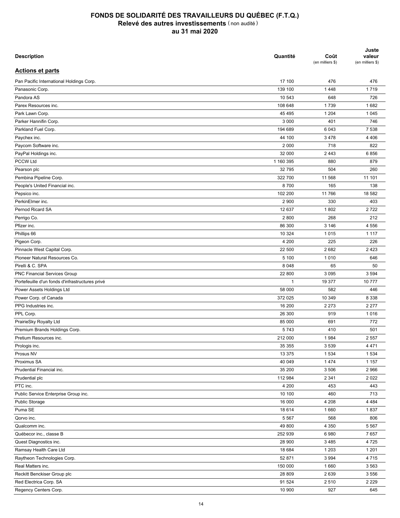| <b>Description</b>                              | Quantité        | Coût<br>(en milliers \$) | Juste<br>valeur<br>(en milliers \$) |
|-------------------------------------------------|-----------------|--------------------------|-------------------------------------|
| <b>Actions et parts</b>                         |                 |                          |                                     |
| Pan Pacific International Holdings Corp.        | 17 100          | 476                      | 476                                 |
| Panasonic Corp.                                 | 139 100         | 1448                     | 1719                                |
| Pandora AS                                      | 10 543          | 648                      | 726                                 |
| Parex Resources inc.                            | 108 648         | 1739                     | 1682                                |
| Park Lawn Corp.                                 | 45 4 95         | 1 2 0 4                  | 1 0 4 5                             |
| Parker Hannifin Corp.                           | 3 0 0 0         | 401                      | 746                                 |
| Parkland Fuel Corp.                             | 194 689         | 6 0 43                   | 7 5 3 8                             |
| Paychex inc.                                    | 44 100          | 3 4 7 8                  | 4 4 0 6                             |
| Paycom Software inc.                            | 2 0 0 0         | 718                      | 822                                 |
| PayPal Holdings inc.                            | 32 000          | 2 4 4 3                  | 6856                                |
| <b>PCCW Ltd</b>                                 | 1 160 395       | 880                      | 879                                 |
| Pearson plc                                     | 32 795          | 504                      | 260                                 |
|                                                 |                 |                          |                                     |
| Pembina Pipeline Corp.                          | 322 700<br>8700 | 11 568<br>165            | 11 101<br>138                       |
| People's United Financial inc.                  |                 |                          |                                     |
| Pepsico inc.                                    | 102 200         | 11 766                   | 18 582                              |
| PerkinElmer inc.                                | 2 9 0 0         | 330                      | 403                                 |
| Pernod Ricard SA                                | 12 637          | 1802                     | 2722                                |
| Perrigo Co.                                     | 2800            | 268                      | 212                                 |
| Pfizer inc.                                     | 86 300          | 3 1 4 6                  | 4 5 5 6                             |
| Phillips 66                                     | 10 324          | 1015                     | 1 1 1 7                             |
| Pigeon Corp.                                    | 4 200           | 225                      | 226                                 |
| Pinnacle West Capital Corp.                     | 22 500          | 2682                     | 2 4 2 3                             |
| Pioneer Natural Resources Co.                   | 5 100           | 1010                     | 646                                 |
| Pirelli & C. SPA                                | 8 0 4 8         | 65                       | 50                                  |
| PNC Financial Services Group                    | 22 800          | 3 0 9 5                  | 3 5 9 4                             |
| Portefeuille d'un fonds d'infrastructures privé | $\mathbf{1}$    | 19 377                   | 10777                               |
| Power Assets Holdings Ltd                       | 58 000          | 582                      | 446                                 |
| Power Corp. of Canada                           | 372 025         | 10 349                   | 8 3 3 8                             |
| PPG Industries inc.                             | 16 200          | 2 2 7 3                  | 2 2 7 7                             |
| PPL Corp.                                       | 26 300          | 919                      | 1016                                |
| PrairieSky Royalty Ltd                          | 85 000          | 691                      | 772                                 |
| Premium Brands Holdings Corp.                   | 5743            | 410                      | 501                                 |
| Pretium Resources inc.                          | 212 000         | 1984                     | 2 5 5 7                             |
| Prologis inc.                                   | 35 355          | 3 5 3 9                  | 4 4 7 1                             |
| Prosus NV                                       | 13 375          | 1 5 3 4                  | 1 5 3 4                             |
| Proximus SA                                     | 40 049          | 1 4 7 4                  | 1 1 5 7                             |
| Prudential Financial inc.                       | 35 200          | 3 5 0 6                  | 2 9 6 6                             |
| Prudential plc                                  | 112 984         | 2 3 4 1                  | 2 0 2 2                             |
| PTC inc.                                        | 4 200           | 453                      | 443                                 |
| Public Service Enterprise Group inc.            | 10 100          | 460                      | 713                                 |
| Public Storage                                  | 16 000          | 4 2 0 8                  | 4 4 8 4                             |
| Puma SE                                         | 18 614          | 1660                     | 1837                                |
| Qorvo inc.                                      | 5 5 6 7         | 568                      | 806                                 |
| Qualcomm inc.                                   | 49 800          | 4 3 5 0                  | 5 5 6 7                             |
| Québecor inc., classe B                         | 252 939         | 6980                     | 7657                                |
| Quest Diagnostics inc.                          | 28 900          | 3 4 8 5                  | 4725                                |
| Ramsay Health Care Ltd                          | 18 684          | 1 2 0 3                  | 1 2 0 1                             |
| Raytheon Technologies Corp.                     | 52 871          | 3 9 9 4                  | 4715                                |
| Real Matters inc.                               | 150 000         | 1660                     | 3 5 6 3                             |
| Reckitt Benckiser Group plc                     | 28 809          | 2639                     | 3 5 5 6                             |
| Red Electrica Corp. SA                          | 91 524          | 2 5 1 0                  | 2 2 2 9                             |
| Regency Centers Corp.                           | 10 900          | 927                      | 645                                 |
|                                                 |                 |                          |                                     |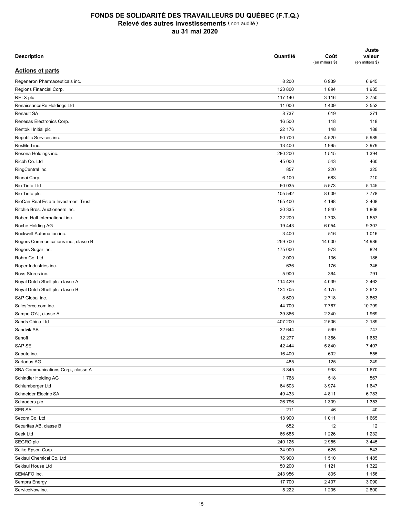| <b>Description</b>                   | Quantité     | Coût<br>(en milliers \$) | Juste<br>valeur<br>(en milliers \$) |
|--------------------------------------|--------------|--------------------------|-------------------------------------|
| <b>Actions et parts</b>              |              |                          |                                     |
| Regeneron Pharmaceuticals inc.       | 8 2 0 0      | 6939                     | 6945                                |
| Regions Financial Corp.              | 123 800      | 1894                     | 1935                                |
| RELX plc                             | 117 140      | 3 1 1 6                  | 3750                                |
| RenaissanceRe Holdings Ltd           | 11 000       | 1 4 0 9                  | 2 5 5 2                             |
| <b>Renault SA</b>                    | 8737         | 619                      | 271                                 |
| Renesas Electronics Corp.            | 16 500       | 118                      | 118                                 |
| Rentokil Initial plc                 | 22 176       | 148                      | 188                                 |
| Republic Services inc.               | 50 700       | 4 5 20                   | 5989                                |
| ResMed inc.                          | 13 400       | 1995                     | 2979                                |
| Resona Holdings inc.                 | 280 200      | 1515                     | 1 3 9 4                             |
| Ricoh Co. Ltd                        | 45 000       | 543                      | 460                                 |
| RingCentral inc.                     | 857          | 220                      | 325                                 |
| Rinnai Corp.                         | 6 100        | 683                      | 710                                 |
| Rio Tinto Ltd                        | 60 035       | 5573                     | 5 1 4 5                             |
| Rio Tinto plc                        | 105 542      | 8 0 0 9                  | 7778                                |
| RioCan Real Estate Investment Trust  | 165 400      | 4 1 9 8                  | 2 4 0 8                             |
| Ritchie Bros. Auctioneers inc.       | 30 335       | 1840                     | 1808                                |
| Robert Half International inc.       | 22 200       | 1703                     | 1557                                |
| Roche Holding AG                     | 19 443       | 6 0 5 4                  | 9 3 0 7                             |
| Rockwell Automation inc.             | 3 4 0 0      | 516                      | 1016                                |
| Rogers Communications inc., classe B | 259 700      | 14 000                   | 14 986                              |
| Rogers Sugar inc.                    | 175 000      | 973                      | 824                                 |
| Rohm Co. Ltd                         | 2 0 0 0      | 136                      | 186                                 |
| Roper Industries inc.                | 636          | 176                      | 346                                 |
| Ross Stores inc.                     | 5 900        | 364                      | 791                                 |
| Royal Dutch Shell plc, classe A      | 114 429      | 4 0 3 9                  | 2462                                |
| Royal Dutch Shell plc, classe B      | 124 705      | 4 1 7 5                  | 2613                                |
| S&P Global inc.                      | 8 600        | 2718                     | 3863                                |
| Salesforce.com inc.                  | 44 700       | 7 7 6 7                  | 10799                               |
| Sampo OYJ, classe A                  | 39 866       | 2 3 4 0                  | 1969                                |
| Sands China Ltd                      | 407 200      | 2 5 0 6                  | 2 1 8 9                             |
| Sandvik AB                           | 32 644       | 599                      | 747                                 |
| Sanofi                               | 12 277       | 1 3 6 6                  | 1653                                |
| SAP SE                               | 42 444       | 5 8 4 0                  | 7 4 0 7                             |
| Saputo inc.                          | 16 400       | 602                      | 555                                 |
| Sartorius AG                         | 485          | 125                      | 249                                 |
| SBA Communications Corp., classe A   |              |                          |                                     |
| Schindler Holding AG                 | 3845<br>1768 | 998<br>518               | 1670<br>567                         |
|                                      |              |                          |                                     |
| Schlumberger Ltd                     | 64 503       | 3974                     | 1647                                |
| Schneider Electric SA                | 49 433       | 4811                     | 6783                                |
| Schroders plc                        | 26 796       | 1 3 0 9                  | 1 3 5 3                             |
| SEB SA                               | 211          | 46                       | 40                                  |
| Secom Co. Ltd                        | 13 900       | 1011                     | 1665                                |
| Securitas AB, classe B               | 652          | 12                       | 12                                  |
| Seek Ltd                             | 66 685       | 1 2 2 6                  | 1 2 3 2                             |
| SEGRO plc                            | 240 125      | 2955                     | 3 4 4 5                             |
| Seiko Epson Corp.                    | 34 900       | 625                      | 543                                 |
| Sekisui Chemical Co. Ltd             | 76 900       | 1510                     | 1485                                |
| Sekisui House Ltd                    | 50 200       | 1 1 2 1                  | 1 3 2 2                             |
| SEMAFO inc.                          | 243 956      | 835                      | 1 1 5 6                             |
| Sempra Energy                        | 17 700       | 2 4 0 7                  | 3 0 9 0                             |
| ServiceNow inc.                      | 5 2 2 2      | 1 2 0 5                  | 2 8 0 0                             |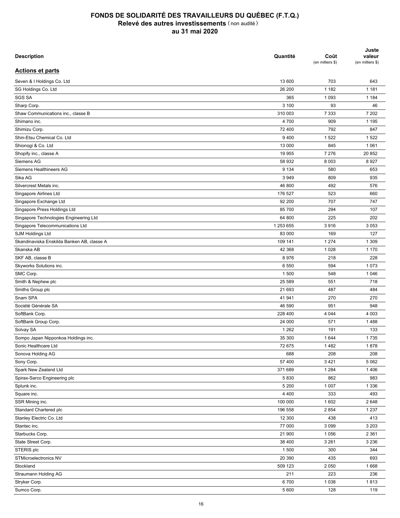| <b>Description</b>                                 | Quantité  | Coût<br>(en milliers \$) | Juste<br>valeur<br>(en milliers \$) |
|----------------------------------------------------|-----------|--------------------------|-------------------------------------|
| <b>Actions et parts</b>                            |           |                          |                                     |
| Seven & I Holdings Co. Ltd                         | 13 600    | 703                      | 643                                 |
| SG Holdings Co. Ltd                                | 26 200    | 1 1 8 2                  | 1 1 8 1                             |
| <b>SGS SA</b>                                      | 365       | 1 0 9 3                  | 1 1 8 4                             |
| Sharp Corp.                                        | 3 100     | 93                       | 46                                  |
| Shaw Communications inc., classe B                 | 310 003   | 7 3 3 3                  | 7 202                               |
| Shimano inc.                                       | 4 700     | 909                      | 1 1 9 5                             |
| Shimizu Corp.                                      | 72 400    | 792                      | 847                                 |
| Shin-Etsu Chemical Co. Ltd                         | 9400      | 1 5 2 2                  | 1522                                |
| Shionogi & Co. Ltd                                 | 13 000    | 845                      | 1 0 6 1                             |
| Shopify inc., classe A                             | 19 955    | 7 2 7 6                  | 20 852                              |
| Siemens AG                                         | 58 932    | 8 0 0 3                  | 8927                                |
| Siemens Healthineers AG                            | 9 1 3 4   | 580                      | 653                                 |
| Sika AG                                            | 3 9 4 9   | 809                      | 935                                 |
| Silvercrest Metals inc.                            | 46 800    | 492                      | 576                                 |
| Singapore Airlines Ltd                             | 176 527   | 523                      | 660                                 |
| Singapore Exchange Ltd                             | 92 200    | 707                      | 747                                 |
| Singapore Press Holdings Ltd                       | 85 700    | 294                      | 107                                 |
| Singapore Technologies Engineering Ltd             | 64 800    | 225                      | 202                                 |
| Singapore Telecommunications Ltd                   | 1 253 655 | 3916                     | 3 0 5 3                             |
| <b>SJM Holdings Ltd</b>                            | 83 000    | 169                      | 127                                 |
| Skandinaviska Enskilda Banken AB, classe A         | 109 141   | 1 2 7 4                  | 1 3 0 9                             |
| Skanska AB                                         | 42 368    | 1 0 2 8                  | 1 1 7 0                             |
| SKF AB, classe B                                   | 8976      | 218                      | 228                                 |
| Skyworks Solutions inc.                            | 6 5 5 0   | 594                      | 1073                                |
| SMC Corp.                                          | 1 500     | 548                      | 1 0 4 6                             |
| Smith & Nephew plc                                 | 25 5 89   | 551                      | 718                                 |
| Smiths Group plc                                   | 21 693    | 487                      | 484                                 |
| Snam SPA                                           | 41 941    | 270                      | 270                                 |
| Société Générale SA                                | 46 590    | 951                      | 948                                 |
| SoftBank Corp.                                     | 228 400   | 4 0 4 4                  | 4 0 0 3                             |
| SoftBank Group Corp.                               | 24 000    | 571                      | 1488                                |
| Solvay SA                                          | 1 2 6 2   | 191                      | 133                                 |
| Sompo Japan Nipponkoa Holdings inc.                | 35 300    | 1644                     | 1735                                |
| Sonic Healthcare Ltd                               | 72 675    | 1482                     | 1878                                |
| Sonova Holding AG                                  | 688       | 208                      | 208                                 |
| Sony Corp.                                         | 57 400    | 3421                     | 5 0 6 2                             |
| Spark New Zealand Ltd                              | 371 689   | 1 2 8 4                  | 1 4 0 6                             |
| Spirax-Sarco Engineering plc                       | 5830      | 862                      | 983                                 |
| Splunk inc.                                        | 5 200     | 1 0 0 7                  | 1 3 3 6                             |
| Square inc.                                        | 4 4 0 0   | 333                      | 493                                 |
|                                                    |           | 1602                     | 2648                                |
| SSR Mining inc.                                    | 100 000   |                          |                                     |
| Standard Chartered plc<br>Stanley Electric Co. Ltd | 196 558   | 2 8 5 4                  | 1 2 3 7                             |
|                                                    | 12 300    | 438                      | 413<br>3 2 0 3                      |
| Stantec inc.                                       | 77 000    | 3 0 9 9                  | 2 3 6 1                             |
| Starbucks Corp.                                    | 21 900    | 1 0 5 6                  |                                     |
| State Street Corp.                                 | 38 400    | 3 2 6 1                  | 3 2 3 6                             |
| STERIS plc                                         | 1 500     | 300                      | 344                                 |
| STMicroelectronics NV                              | 20 390    | 435                      | 693                                 |
| Stockland                                          | 509 123   | 2 0 5 0                  | 1668                                |
| Straumann Holding AG                               | 211       | 223                      | 236                                 |
| Stryker Corp.                                      | 6700      | 1 0 3 8                  | 1813                                |
| Sumco Corp.                                        | 5 600     | 128                      | 119                                 |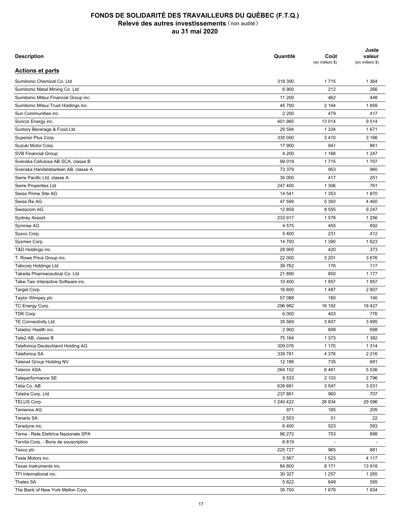| <b>Description</b>                   | Quantité  | Coût<br>(en milliers \$) | Juste<br>valeur<br>(en milliers \$) |
|--------------------------------------|-----------|--------------------------|-------------------------------------|
| <b>Actions et parts</b>              |           |                          |                                     |
| Sumitomo Chemical Co. Ltd            | 318 300   | 1715                     | 1 3 6 4                             |
| Sumitomo Metal Mining Co. Ltd        | 6 900     | 212                      | 266                                 |
| Sumitomo Mitsui Financial Group inc. | 11 200    | 462                      | 448                                 |
| Sumitomo Mitsui Trust Holdings inc.  | 45 700    | 2 1 6 4                  | 1859                                |
| Sun Communities inc.                 | 2 2 0 0   | 479                      | 417                                 |
| Suncor Energy inc.                   | 401 965   | 13 0 14                  | 9514                                |
| Suntory Beverage & Food Ltd          | 29 5 94   | 1 3 3 4                  | 1671                                |
| Superior Plus Corp.                  | 335 000   | 3410                     | 3 1 6 6                             |
| Suzuki Motor Corp.                   | 17 900    | 941                      | 861                                 |
| <b>SVB Financial Group</b>           | 4 200     | 1 1 6 8                  | 1 2 4 7                             |
| Svenska Cellulosa AB SCA, classe B   | 99 019    | 1715                     | 1707                                |
| Svenska Handelsbanken AB, classe A   | 73 379    | 953                      | 960                                 |
| Swire Pacific Ltd, classe A          | 35 000    | 417                      | 251                                 |
| Swire Properties Ltd                 | 247 400   | 1 3 0 6                  | 761                                 |
| Swiss Prime Site AG                  | 14 541    | 1 3 5 3                  | 1870                                |
| Swiss Re AG                          | 47 599    |                          | 4 4 6 0                             |
| Swisscom AG                          |           | 5 3 9 3                  | 9 2 4 7                             |
|                                      | 12 859    | 8 5 5 5                  |                                     |
| <b>Sydney Airport</b>                | 233 917   | 1578                     | 1 2 5 6                             |
| Symrise AG                           | 4575      | 455                      | 692                                 |
| Sysco Corp.                          | 5 4 0 0   | 231                      | 412                                 |
| Sysmex Corp.                         | 14 700    | 1 3 9 0                  | 1623                                |
| T&D Holdings inc.                    | 29 900    | 420                      | 373                                 |
| T. Rowe Price Group inc.             | 22 000    | 3 2 0 1                  | 3676                                |
| <b>Tabcorp Holdings Ltd</b>          | 39 762    | 176                      | 117                                 |
| Takeda Pharmaceutical Co. Ltd        | 21 890    | 850                      | 1 1 7 7                             |
| Take-Two Interactive Software inc.   | 10 400    | 1957                     | 1957                                |
| Target Corp.                         | 16 600    | 1 4 8 7                  | 2807                                |
| Taylor Wimpey plc                    | 57 088    | 180                      | 140                                 |
| TC Energy Corp.                      | 296 982   | 18 192                   | 18 4 27                             |
| TDK Corp.                            | 6 0 0 0   | 403                      | 776                                 |
| <b>TE Connectivity Ltd</b>           | 35 569    | 3 607                    | 3 9 9 5                             |
| Teladoc Health inc.                  | 2 9 0 0   | 698                      | 698                                 |
| Tele2 AB, classe B                   | 75 164    | 1 3 7 3                  | 1 3 8 2                             |
| Telefonica Deutschland Holding AG    | 309 076   | 1 1 7 0                  | 1 3 1 4                             |
| Telefonica SA                        | 339 781   | 4 3 7 6                  | 2 2 1 6                             |
| Telenet Group Holding NV             | 12 186    | 735                      | 691                                 |
| <b>Telenor ASA</b>                   | 264 152   | 6461                     | 5 5 3 6                             |
| Teleperformance SE                   | 8 5 3 3   | 2 1 0 3                  | 2796                                |
| Telia Co. AB                         | 639 881   | 3 5 4 7                  | 3 0 3 1                             |
| Telstra Corp. Ltd                    | 237 861   | 960                      | 707                                 |
| TELUS Corp.                          | 1 240 422 | 26 934                   | 29 596                              |
| Temenos AG                           | 971       | 185                      | 205                                 |
| <b>Tenaris SA</b>                    | 2 5 5 3   | 51                       | 22                                  |
| Teradyne inc.                        | 6400      | 523                      | 593                                 |
| Terna - Rete Elettrica Nazionale SPA | 96 272    | 753                      | 898                                 |
| Tervita Corp. - Bons de souscription | 6819      | $\blacksquare$           |                                     |
| Tesco plc                            | 225 727   | 965                      | 881                                 |
| Tesla Motors inc.                    | 3 5 6 7   | 1 5 2 3                  | 4 1 1 7                             |
| Texas Instruments inc.               | 84 800    | 8 1 7 1                  | 13918                               |
| TFI International inc.               | 30 327    | 1 2 5 7                  | 1 2 6 5                             |
| Thales SA                            | 5 6 22    | 649                      | 595                                 |
| The Bank of New York Mellon Corp.    | 35 700    | 1679                     | 1834                                |
|                                      |           |                          |                                     |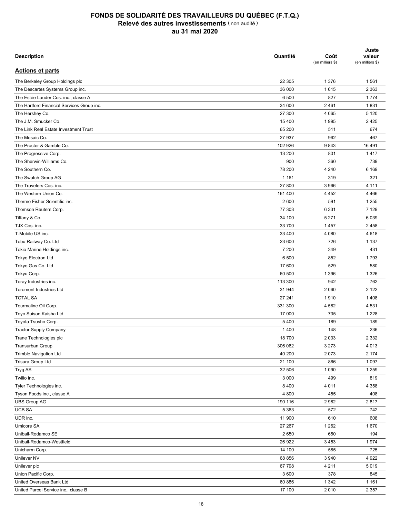| <b>Description</b>                         | Quantité | Coût<br>(en milliers \$) | Juste<br>valeur<br>(en milliers \$) |
|--------------------------------------------|----------|--------------------------|-------------------------------------|
| <b>Actions et parts</b>                    |          |                          |                                     |
| The Berkeley Group Holdings plc            | 22 305   | 1 3 7 6                  | 1561                                |
| The Descartes Systems Group inc.           | 36 000   | 1615                     | 2 3 6 3                             |
| The Estée Lauder Cos. inc., classe A       | 6 500    | 827                      | 1774                                |
| The Hartford Financial Services Group inc. | 34 600   | 2 4 6 1                  | 1831                                |
| The Hershey Co.                            | 27 300   | 4 0 6 5                  | 5 1 2 0                             |
| The J.M. Smucker Co.                       | 15 400   | 1995                     | 2425                                |
| The Link Real Estate Investment Trust      | 65 200   | 511                      | 674                                 |
| The Mosaic Co.                             | 27 937   | 962                      | 467                                 |
| The Procter & Gamble Co.                   | 102 926  | 9843                     | 16 491                              |
| The Progressive Corp.                      | 13 200   | 801                      | 1417                                |
| The Sherwin-Williams Co.                   | 900      | 360                      | 739                                 |
| The Southern Co.                           | 78 200   | 4 2 4 0                  | 6 1 6 9                             |
| The Swatch Group AG                        | 1 1 6 1  | 319                      | 321                                 |
| The Travelers Cos. inc.                    | 27 800   | 3 9 6 6                  | 4 1 1 1                             |
| The Western Union Co.                      | 161 400  | 4 4 5 2                  | 4 4 6 6                             |
| Thermo Fisher Scientific inc.              | 2 600    | 591                      | 1 2 5 5                             |
|                                            | 77 303   | 6 3 3 1                  | 7 1 2 9                             |
| Thomson Reuters Corp.                      | 34 100   | 5 2 7 1                  | 6 0 3 9                             |
| Tiffany & Co.                              |          |                          |                                     |
| TJX Cos. inc.                              | 33 700   | 1457                     | 2458                                |
| T-Mobile US inc.                           | 33 400   | 4 0 8 0                  | 4618                                |
| Tobu Railway Co. Ltd                       | 23 600   | 726                      | 1 1 3 7                             |
| Tokio Marine Holdings inc.                 | 7 200    | 349                      | 431                                 |
| Tokyo Electron Ltd                         | 6 500    | 852                      | 1793                                |
| Tokyo Gas Co. Ltd                          | 17 600   | 529                      | 580                                 |
| Tokyu Corp.                                | 60 500   | 1 3 9 6                  | 1 3 2 6                             |
| Toray Industries inc.                      | 113 300  | 942                      | 762                                 |
| <b>Toromont Industries Ltd</b>             | 31 944   | 2 0 6 0                  | 2 1 2 2                             |
| <b>TOTAL SA</b>                            | 27 241   | 1910                     | 1408                                |
| Tourmaline Oil Corp.                       | 331 300  | 4 5 8 2                  | 4 5 31                              |
| Toyo Suisan Kaisha Ltd                     | 17 000   | 735                      | 1 2 2 8                             |
| Toyota Tsusho Corp.                        | 5 4 0 0  | 189                      | 189                                 |
| <b>Tractor Supply Company</b>              | 1 4 0 0  | 148                      | 236                                 |
| Trane Technologies plc                     | 18 700   | 2 0 3 3                  | 2 3 3 2                             |
| Transurban Group                           | 306 062  | 3 2 7 3                  | 4 0 1 3                             |
| Trimble Navigation Ltd                     | 40 200   | 2073                     | 2 174                               |
| Trisura Group Ltd                          | 21 100   | 866                      | 1 0 9 7                             |
| Tryg AS                                    | 32 506   | 1 0 9 0                  | 1 2 5 9                             |
| Twilio inc.                                | 3 0 0 0  | 499                      | 819                                 |
| Tyler Technologies inc.                    | 8 4 0 0  | 4 0 1 1                  | 4 3 5 8                             |
| Tyson Foods inc., classe A                 | 4 800    | 455                      | 408                                 |
| <b>UBS Group AG</b>                        | 190 116  | 2982                     | 2817                                |
| <b>UCB SA</b>                              | 5 3 6 3  | 572                      | 742                                 |
| UDR inc.                                   | 11 900   | 610                      | 608                                 |
| Umicore SA                                 | 27 267   | 1 2 6 2                  | 1670                                |
| Unibail-Rodamco SE                         | 2 6 5 0  | 650                      | 194                                 |
| Unibail-Rodamco-Westfield                  | 26 922   | 3 4 5 3                  | 1974                                |
| Unicharm Corp.                             | 14 100   | 585                      | 725                                 |
| Unilever NV                                | 68 856   | 3 9 4 0                  | 4 9 2 2                             |
| Unilever plc                               | 67 798   | 4 2 1 1                  | 5019                                |
| Union Pacific Corp.                        | 3 600    | 378                      | 845                                 |
| United Overseas Bank Ltd                   | 60 886   | 1 3 4 2                  | 1 1 6 1                             |
| United Parcel Service inc., classe B       | 17 100   | 2010                     | 2 3 5 7                             |
|                                            |          |                          |                                     |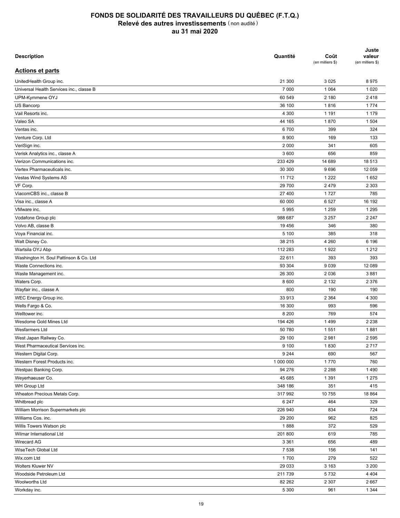| <b>Description</b>                       | Quantité  | Coût<br>(en milliers \$) | Juste<br>valeur<br>(en milliers \$) |
|------------------------------------------|-----------|--------------------------|-------------------------------------|
| <b>Actions et parts</b>                  |           |                          |                                     |
| UnitedHealth Group inc.                  | 21 300    | 3 0 2 5                  | 8975                                |
| Universal Health Services inc., classe B | 7 0 0 0   | 1 0 6 4                  | 1 0 2 0                             |
| UPM-Kymmene OYJ                          | 60 549    | 2 180                    | 2418                                |
| US Bancorp                               | 36 100    | 1816                     | 1774                                |
| Vail Resorts inc.                        | 4 300     | 1 1 9 1                  | 1 1 7 9                             |
| Valeo SA                                 | 44 165    | 1870                     | 1 504                               |
| Ventas inc.                              | 6700      | 399                      | 324                                 |
| Venture Corp. Ltd                        | 8 9 0 0   | 169                      | 133                                 |
| VeriSign inc.                            | 2 0 0 0   | 341                      | 605                                 |
| Verisk Analytics inc., classe A          | 3 600     | 656                      | 859                                 |
| Verizon Communications inc.              | 233 429   | 14 689                   | 18 513                              |
| Vertex Pharmaceuticals inc.              | 30 300    | 9696                     | 12 059                              |
| Vestas Wind Systems AS                   | 11712     | 1 2 2 2                  | 1652                                |
| VF Corp.                                 | 29 700    | 2 4 7 9                  | 2 3 0 3                             |
| ViacomCBS inc., classe B                 | 27 400    | 1727                     | 785                                 |
| Visa inc., classe A                      | 60 000    | 6527                     | 16 192                              |
| VMware inc.                              | 5995      | 1 2 5 9                  | 1 2 9 5                             |
| Vodafone Group plc                       | 988 687   | 3 2 5 7                  | 2 2 4 7                             |
| Volvo AB, classe B                       | 19 45 6   | 346                      | 380                                 |
| Voya Financial inc.                      | 5 100     | 385                      | 318                                 |
| Walt Disney Co.                          | 38 215    | 4 2 6 0                  | 6 196                               |
| Wartsila OYJ Abp                         | 112 283   | 1922                     | 1 2 1 2                             |
| Washington H. Soul Pattinson & Co. Ltd   | 22 611    | 393                      | 393                                 |
| Waste Connections inc.                   | 93 304    | 9 0 3 9                  | 12 089                              |
| Waste Management inc.                    | 26 300    | 2 0 3 6                  | 3881                                |
| Waters Corp.                             | 8 600     | 2 1 3 2                  | 2 3 7 6                             |
| Wayfair inc., classe A                   | 800       | 190                      | 190                                 |
| WEC Energy Group inc.                    | 33 913    | 2 3 6 4                  | 4 300                               |
| Wells Fargo & Co.                        | 16 300    | 993                      | 596                                 |
| Welltower inc.                           | 8 2 0 0   | 769                      | 574                                 |
| Wesdome Gold Mines Ltd                   | 194 426   | 1499                     | 2 2 3 8                             |
| <b>Wesfarmers Ltd</b>                    | 50 780    | 1 5 5 1                  | 1881                                |
| West Japan Railway Co.                   | 29 100    | 2981                     | 2 5 9 5                             |
| West Pharmaceutical Services inc.        | 9 100     | 1830                     | 2717                                |
| Western Digital Corp.                    | 9 2 4 4   | 690                      | 567                                 |
| Western Forest Products inc.             | 1 000 000 |                          |                                     |
|                                          |           | 1770                     | 760                                 |
| Westpac Banking Corp.                    | 94 276    | 2 2 8 8                  | 1 4 9 0                             |
| Weyerhaeuser Co.                         | 45 685    | 1 3 9 1                  | 1 2 7 5                             |
| WH Group Ltd                             | 348 186   | 351                      | 415                                 |
| Wheaton Precious Metals Corp.            | 317992    | 10 755                   | 18 8 64                             |
| Whitbread plc                            | 6 2 4 7   | 464                      | 329                                 |
| William Morrison Supermarkets plc        | 226 940   | 834                      | 724                                 |
| Williams Cos. inc.                       | 29 200    | 962                      | 825                                 |
| Willis Towers Watson plc                 | 1888      | 372                      | 529                                 |
| Wilmar International Ltd                 | 201 800   | 619                      | 785                                 |
| Wirecard AG                              | 3 3 6 1   | 656                      | 489                                 |
| WiseTech Global Ltd                      | 7 5 3 8   | 156                      | 141                                 |
| Wix.com Ltd                              | 1700      | 279                      | 522                                 |
| Wolters Kluwer NV                        | 29 033    | 3 1 6 3                  | 3 2 0 0                             |
| Woodside Petroleum Ltd                   | 211739    | 5732                     | 4 4 0 4                             |
| Woolworths Ltd                           | 82 262    | 2 3 0 7                  | 2667                                |
| Workday inc.                             | 5 3 0 0   | 961                      | 1 3 4 4                             |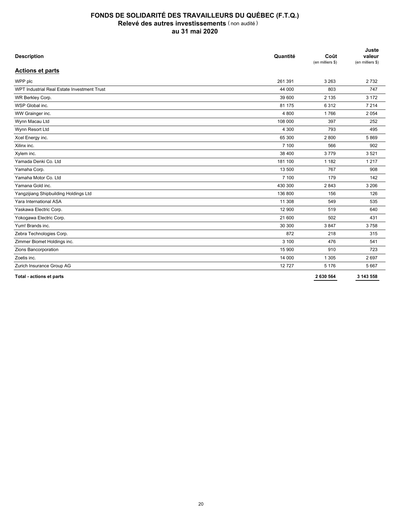| <b>Description</b>                          | Quantité | Coût<br>(en milliers \$) | Juste<br>valeur<br>(en milliers \$) |
|---------------------------------------------|----------|--------------------------|-------------------------------------|
| <b>Actions et parts</b>                     |          |                          |                                     |
| WPP plc                                     | 261 391  | 3 2 6 3                  | 2732                                |
| WPT Industrial Real Estate Investment Trust | 44 000   | 803                      | 747                                 |
| WR Berkley Corp.                            | 39 600   | 2 1 3 5                  | 3 1 7 2                             |
| WSP Global inc.                             | 81 175   | 6312                     | 7 2 1 4                             |
| WW Grainger inc.                            | 4 800    | 1766                     | 2 0 5 4                             |
| Wynn Macau Ltd                              | 108 000  | 397                      | 252                                 |
| Wynn Resort Ltd                             | 4 300    | 793                      | 495                                 |
| Xcel Energy inc.                            | 65 300   | 2800                     | 5869                                |
| Xilinx inc.                                 | 7 100    | 566                      | 902                                 |
| Xylem inc.                                  | 38 400   | 3779                     | 3 5 2 1                             |
| Yamada Denki Co. Ltd                        | 181 100  | 1 1 8 2                  | 1 2 1 7                             |
| Yamaha Corp.                                | 13 500   | 767                      | 908                                 |
| Yamaha Motor Co. Ltd                        | 7 100    | 179                      | 142                                 |
| Yamana Gold inc.                            | 430 300  | 2843                     | 3 2 0 6                             |
| Yangzijiang Shipbuilding Holdings Ltd       | 136 800  | 156                      | 126                                 |
| Yara International ASA                      | 11 308   | 549                      | 535                                 |
| Yaskawa Electric Corp.                      | 12 900   | 519                      | 640                                 |
| Yokogawa Electric Corp.                     | 21 600   | 502                      | 431                                 |
| Yum! Brands inc.                            | 30 300   | 3847                     | 3758                                |
| Zebra Technologies Corp.                    | 872      | 218                      | 315                                 |
| Zimmer Biomet Holdings inc.                 | 3 100    | 476                      | 541                                 |
| Zions Bancorporation                        | 15 900   | 910                      | 723                                 |
| Zoetis inc.                                 | 14 000   | 1 3 0 5                  | 2 6 9 7                             |
| Zurich Insurance Group AG                   | 12727    | 5 1 7 6                  | 5 6 6 7                             |
| Total - actions et parts                    |          | 2 630 564                | 3 143 558                           |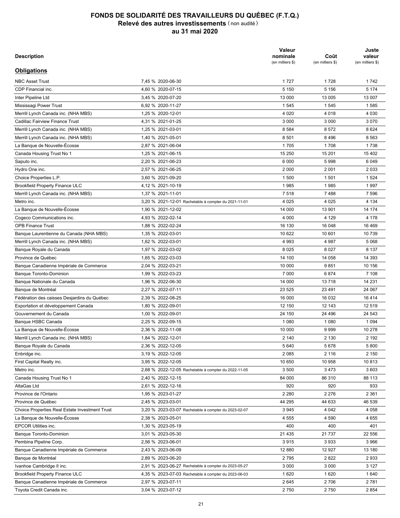| <b>Description</b>                                    |                                                      | Valeur<br>nominale<br>(en milliers \$) | Coût<br>(en milliers \$) | Juste<br>valeur<br>(en milliers \$) |
|-------------------------------------------------------|------------------------------------------------------|----------------------------------------|--------------------------|-------------------------------------|
| <b>Obligations</b>                                    |                                                      |                                        |                          |                                     |
| <b>NBC Asset Trust</b>                                | 7.45 % 2020-06-30                                    | 1727                                   | 1728                     | 1742                                |
| CDP Financial inc.                                    | 4,60 % 2020-07-15                                    | 5 1 5 0                                | 5 1 5 6                  | 5 1 7 4                             |
| Inter Pipeline Ltd                                    | 3,45 % 2020-07-20                                    | 13 000                                 | 13 005                   | 13 007                              |
| Mississagi Power Trust                                | 6,92 % 2020-11-27                                    | 1 5 4 5                                | 1 5 4 5                  | 1585                                |
| Merrill Lynch Canada inc. (NHA MBS)                   | 1,25 % 2020-12-01                                    | 4 0 20                                 | 4 0 1 8                  | 4 0 3 0                             |
| Cadillac Fairview Finance Trust                       | 4,31 % 2021-01-25                                    | 3 0 0 0                                | 3 0 0 0                  | 3 0 7 0                             |
| Merrill Lynch Canada inc. (NHA MBS)                   | 1,25 % 2021-03-01                                    | 8 5 8 4                                | 8572                     | 8 6 2 4                             |
| Merrill Lynch Canada inc. (NHA MBS)                   | 1,40 % 2021-05-01                                    | 8 5 0 1                                | 8 4 9 6                  | 8 5 6 3                             |
| La Banque de Nouvelle-Écosse                          | 2,87 % 2021-06-04                                    | 1705                                   | 1708                     | 1738                                |
| Canada Housing Trust No 1                             | 1,25 % 2021-06-15                                    | 15 250                                 | 15 201                   | 15 402                              |
| Saputo inc.                                           | 2,20 % 2021-06-23                                    | 6 0 0 0                                | 5998                     | 6 0 4 9                             |
| Hydro One inc.                                        | 2,57 % 2021-06-25                                    | 2 0 0 0                                | 2 0 0 1                  | 2 0 3 3                             |
| Choice Properties L.P.                                | 3,60 % 2021-09-20                                    | 1 500                                  | 1 501                    | 1 5 2 4                             |
| <b>Brookfield Property Finance ULC</b>                | 4,12 % 2021-10-19                                    | 1985                                   | 1985                     | 1997                                |
| Merrill Lynch Canada inc. (NHA MBS)                   | 1,37 % 2021-11-01                                    | 7518                                   | 7488                     | 7 5 9 6                             |
| Metro inc.                                            | 3,20 % 2021-12-01 Rachetable à compter du 2021-11-01 | 4 0 2 5                                | 4 0 25                   | 4 1 3 4                             |
| La Banque de Nouvelle-Écosse                          | 1,90 % 2021-12-02                                    | 14 000                                 | 13 901                   | 14 174                              |
| Cogeco Communications inc.                            | 4,93 % 2022-02-14                                    | 4 0 0 0                                | 4 1 2 9                  | 4 1 7 8                             |
| <b>OPB Finance Trust</b>                              | 1,88 % 2022-02-24                                    | 16 130                                 | 16 048                   | 16 4 69                             |
| Banque Laurentienne du Canada (NHA MBS)               | 1,35 % 2022-03-01                                    | 10 622                                 | 10 601                   | 10739                               |
| Merrill Lynch Canada inc. (NHA MBS)                   | 1,62 % 2022-03-01                                    | 4 9 9 3                                | 4987                     | 5 0 6 8                             |
| Banque Royale du Canada                               | 1,97 % 2022-03-02                                    | 8 0 2 5                                | 8 0 2 7                  | 8 1 3 7                             |
| Province de Québec                                    | 1,65 % 2022-03-03                                    | 14 100                                 | 14 058                   | 14 3 9 3                            |
|                                                       |                                                      | 10 000                                 | 9851                     | 10 156                              |
| Banque Canadienne Impériale de Commerce               | 2,04 % 2022-03-21                                    | 7 0 0 0                                |                          | 7 108                               |
| <b>Banque Toronto-Dominion</b>                        | 1,99 % 2022-03-23                                    | 14 000                                 | 6874<br>13718            | 14 231                              |
| Banque Nationale du Canada                            | 1,96 % 2022-06-30                                    |                                        |                          |                                     |
| Banque de Montréal                                    | 2,27 % 2022-07-11                                    | 23 5 25                                | 23 491                   | 24 067                              |
| Fédération des caisses Desjardins du Québec           | 2,39 % 2022-08-25                                    | 16 000                                 | 16 032                   | 16414                               |
| Exportation et développement Canada                   | 1,80 % 2022-09-01                                    | 12 150                                 | 12 143                   | 12 519                              |
| Gouvernement du Canada                                | 1,00 % 2022-09-01                                    | 24 150                                 | 24 496                   | 24 543                              |
| Banque HSBC Canada                                    | 2,25 % 2022-09-15                                    | 1 0 8 0                                | 1 0 8 0                  | 1 0 9 4                             |
| La Banque de Nouvelle-Écosse                          | 2.36 % 2022-11-08                                    | 10 000                                 | 9999                     | 10 278                              |
| Merrill Lynch Canada inc. (NHA MBS)                   | 1,84 % 2022-12-01                                    | 2 140                                  | 2 1 3 0                  | 2 1 9 2                             |
| Banque Royale du Canada                               | 2,36 % 2022-12-05                                    | 5 6 4 0                                | 5678                     | 5800                                |
| Enbridge inc.                                         | 3,19 % 2022-12-05                                    | 2 0 8 5                                | 2 1 1 6                  | 2 1 5 0                             |
| First Capital Realty inc.                             | 3,95 % 2022-12-05                                    | 10 650                                 | 10 958                   | 10813                               |
| Metro inc.                                            | 2,68 % 2022-12-05 Rachetable à compter du 2022-11-05 | 3 500                                  | 3473                     | 3603                                |
| Canada Housing Trust No 1                             | 2,40 % 2022-12-15                                    | 84 000                                 | 86 310                   | 88 113                              |
| AltaGas Ltd                                           | 2,61 % 2022-12-16                                    | 920                                    | 920                      | 933                                 |
| Province de l'Ontario                                 | 1,95 % 2023-01-27                                    | 2 2 8 0                                | 2 2 7 6                  | 2 3 6 1                             |
| Province de Québec                                    | 2,45 % 2023-03-01                                    | 44 295                                 | 44 633                   | 46 539                              |
| <b>Choice Properties Real Estate Investment Trust</b> | 3,20 % 2023-03-07 Rachetable à compter du 2023-02-07 | 3 9 4 5                                | 4 0 4 2                  | 4 0 5 8                             |
| La Banque de Nouvelle-Écosse                          | 2,38 % 2023-05-01                                    | 4 5 5 5                                | 4 5 9 0                  | 4 6 5 5                             |
| <b>EPCOR Utilities inc.</b>                           | 1,30 % 2023-05-19                                    | 400                                    | 400                      | 401                                 |
| <b>Banque Toronto-Dominion</b>                        | 3,01 % 2023-05-30                                    | 21 4 35                                | 21 737                   | 22 556                              |
| Pembina Pipeline Corp.                                | 2,56 % 2023-06-01                                    | 3915                                   | 3933                     | 3 9 6 6                             |
| Banque Canadienne Impériale de Commerce               | 2,43 % 2023-06-09                                    | 12 880                                 | 12 927                   | 13 180                              |
| Banque de Montréal                                    | 2,89 % 2023-06-20                                    | 2795                                   | 2822                     | 2933                                |
| Ivanhoe Cambridge II inc.                             | 2,91 % 2023-06-27 Rachetable à compter du 2023-05-27 | 3 0 0 0                                | 3 0 0 0                  | 3 1 2 7                             |
| <b>Brookfield Property Finance ULC</b>                | 4,35 % 2023-07-03 Rachetable à compter du 2023-06-03 | 1620                                   | 1620                     | 1640                                |
| Banque Canadienne Impériale de Commerce               | 2,97 % 2023-07-11                                    | 2645                                   | 2706                     | 2781                                |
| Toyota Credit Canada inc.                             | 3,04 % 2023-07-12                                    | 2750                                   | 2750                     | 2 8 5 4                             |
|                                                       |                                                      |                                        |                          |                                     |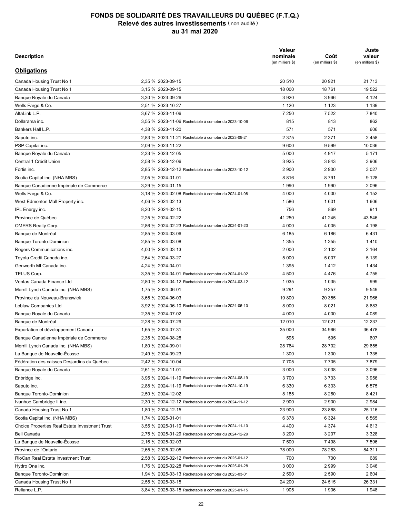| <b>Description</b>                                    |                                                      | Valeur<br>nominale<br>(en milliers \$) | Coût<br>(en milliers \$) | Juste<br>valeur<br>(en milliers \$) |
|-------------------------------------------------------|------------------------------------------------------|----------------------------------------|--------------------------|-------------------------------------|
| <b>Obligations</b>                                    |                                                      |                                        |                          |                                     |
| Canada Housing Trust No 1                             | 2,35 % 2023-09-15                                    | 20 510                                 | 20 921                   | 21 7 1 3                            |
| Canada Housing Trust No 1                             | 3,15 % 2023-09-15                                    | 18 000                                 | 18761                    | 19 522                              |
| Banque Royale du Canada                               | 3,30 % 2023-09-26                                    | 3920                                   | 3966                     | 4 1 2 4                             |
| Wells Fargo & Co.                                     | 2,51 % 2023-10-27                                    | 1 1 2 0                                | 1 1 2 3                  | 1 1 3 9                             |
| AltaLink L.P.                                         | 3,67 % 2023-11-06                                    | 7 2 5 0                                | 7522                     | 7840                                |
| Dollarama inc.                                        | 3,55 % 2023-11-06 Rachetable à compter du 2023-10-06 | 815                                    | 813                      | 862                                 |
| Bankers Hall L.P.                                     | 4,38 % 2023-11-20                                    | 571                                    | 571                      | 606                                 |
| Saputo inc.                                           | 2,83 % 2023-11-21 Rachetable à compter du 2023-09-21 | 2 3 7 5                                | 2 3 7 1                  | 2458                                |
| PSP Capital inc.                                      | 2,09 % 2023-11-22                                    | 9600                                   | 9 5 9 9                  | 10 036                              |
| Banque Royale du Canada                               | 2,33 % 2023-12-05                                    | 5 0 0 0                                | 4917                     | 5 1 7 1                             |
| Central 1 Crédit Union                                | 2,58 % 2023-12-06                                    | 3925                                   | 3843                     | 3 9 0 6                             |
| Fortis inc.                                           | 2,85 % 2023-12-12 Rachetable à compter du 2023-10-12 | 2 9 0 0                                | 2 9 0 0                  | 3 0 2 7                             |
| Scotia Capital inc. (NHA MBS)                         | 2,05 % 2024-01-01                                    | 8816                                   | 8791                     | 9 1 2 8                             |
| Banque Canadienne Impériale de Commerce               | 3,29 % 2024-01-15                                    | 1990                                   | 1990                     | 2096                                |
| Wells Fargo & Co.                                     |                                                      | 4 0 0 0                                |                          |                                     |
|                                                       | 3,18 % 2024-02-08 Rachetable à compter du 2024-01-08 |                                        | 4 0 0 0                  | 4 1 5 2                             |
| West Edmonton Mall Property inc.                      | 4,06 % 2024-02-13                                    | 1586                                   | 1601                     | 1606                                |
| IPL Energy inc.                                       | 8,20 % 2024-02-15                                    | 756                                    | 869                      | 911                                 |
| Province de Québec                                    | 2,25 % 2024-02-22                                    | 41 250                                 | 41 245                   | 43 546                              |
| <b>OMERS Realty Corp.</b>                             | 2,86 % 2024-02-23 Rachetable à compter du 2024-01-23 | 4 0 0 0                                | 4 0 0 5                  | 4 1 9 8                             |
| Banque de Montréal                                    | 2,85 % 2024-03-06                                    | 6 185                                  | 6 186                    | 6431                                |
| <b>Banque Toronto-Dominion</b>                        | 2,85 % 2024-03-08                                    | 1 3 5 5                                | 1 3 5 5                  | 1410                                |
| Rogers Communications inc.                            | 4,00 % 2024-03-13                                    | 2 0 0 0                                | 2 102                    | 2 1 6 4                             |
| Toyota Credit Canada inc.                             | 2,64 % 2024-03-27                                    | 5 0 0 0                                | 5 0 0 7                  | 5 1 3 9                             |
| Genworth MI Canada inc.                               | 4,24 % 2024-04-01                                    | 1 3 9 5                                | 1412                     | 1434                                |
| TELUS Corp.                                           | 3,35 % 2024-04-01 Rachetable à compter du 2024-01-02 | 4 500                                  | 4476                     | 4755                                |
| Ventas Canada Finance Ltd                             | 2,80 % 2024-04-12 Rachetable à compter du 2024-03-12 | 1 0 3 5                                | 1 0 3 5                  | 999                                 |
| Merrill Lynch Canada inc. (NHA MBS)                   | 1,75 % 2024-06-01                                    | 9 2 9 1                                | 9 2 5 7                  | 9549                                |
| Province du Nouveau-Brunswick                         | 3,65 % 2024-06-03                                    | 19800                                  | 20 355                   | 21 966                              |
| Loblaw Companies Ltd                                  | 3,92 % 2024-06-10 Rachetable à compter du 2024-05-10 | 8 0 0 0                                | 8 0 21                   | 8683                                |
| Banque Royale du Canada                               | 2.35 % 2024-07-02                                    | 4 0 0 0                                | 4 0 0 0                  | 4 0 8 9                             |
| Banque de Montréal                                    | 2,28 % 2024-07-29                                    | 12 010                                 | 12 0 21                  | 12 2 3 7                            |
| Exportation et développement Canada                   | 1.65 % 2024-07-31                                    | 35 000                                 | 34 966                   | 36 478                              |
| Banque Canadienne Impériale de Commerce               | 2,35 % 2024-08-28                                    | 595                                    | 595                      | 607                                 |
| Merrill Lynch Canada inc. (NHA MBS)                   | 1,80 % 2024-09-01                                    | 28 7 64                                | 28 702                   | 29 655                              |
| La Banque de Nouvelle-Écosse                          | 2,49 % 2024-09-23                                    | 1 300                                  | 1 300                    | 1 3 3 5                             |
| Fédération des caisses Desjardins du Québec           | 2,42 % 2024-10-04                                    | 7705                                   | 7705                     | 7879                                |
| Banque Royale du Canada                               | 2,61 % 2024-11-01                                    | 3 0 0 0                                | 3 0 3 8                  | 3 0 9 6                             |
| Enbridge inc.                                         | 3,95 % 2024-11-19 Rachetable à compter du 2024-08-19 | 3700                                   | 3733                     | 3 9 5 6                             |
| Saputo inc.                                           | 2,88 % 2024-11-19 Rachetable à compter du 2024-10-19 | 6 3 3 0                                | 6 3 3 3                  | 6575                                |
| <b>Banque Toronto-Dominion</b>                        | 2,50 % 2024-12-02                                    | 8 1 8 5                                | 8 2 6 0                  | 8421                                |
| Ivanhoe Cambridge II inc.                             | 2,30 % 2024-12-12 Rachetable à compter du 2024-11-12 | 2 9 0 0                                | 2 900                    | 2984                                |
| Canada Housing Trust No 1                             | 1,80 % 2024-12-15                                    | 23 900                                 | 23 868                   | 25 116                              |
| Scotia Capital inc. (NHA MBS)                         | 1,74 % 2025-01-01                                    | 6 3 7 8                                | 6 3 2 4                  | 6 5 6 5                             |
| <b>Choice Properties Real Estate Investment Trust</b> | 3,55 % 2025-01-10 Rachetable à compter du 2024-11-10 | 4 4 0 0                                | 4 3 7 4                  | 4613                                |
| <b>Bell Canada</b>                                    | 2,75 % 2025-01-29 Rachetable à compter du 2024-12-29 | 3 200                                  | 3 2 0 7                  | 3 3 2 8                             |
| La Banque de Nouvelle-Écosse                          | 2,16 % 2025-02-03                                    | 7 500                                  | 7498                     | 7 5 9 6                             |
| Province de l'Ontario                                 | 2,65 % 2025-02-05                                    | 78 000                                 | 78 263                   | 84 311                              |
| RioCan Real Estate Investment Trust                   | 2,58 % 2025-02-12 Rachetable à compter du 2025-01-12 | 700                                    | 700                      | 689                                 |
| Hydro One inc.                                        | 1,76 % 2025-02-28 Rachetable à compter du 2025-01-28 | 3 0 0 0                                | 2999                     | 3 0 4 6                             |
| <b>Banque Toronto-Dominion</b>                        | 1,94 % 2025-03-13 Rachetable à compter du 2025-03-01 | 2 5 9 0                                | 2 5 9 0                  | 2 604                               |
| Canada Housing Trust No 1                             | 2,55 % 2025-03-15                                    | 24 200                                 | 24 515                   | 26 331                              |
|                                                       |                                                      |                                        |                          | 1948                                |
| Reliance L.P.                                         | 3,84 % 2025-03-15 Rachetable à compter du 2025-01-15 | 1 9 0 5                                | 1906                     |                                     |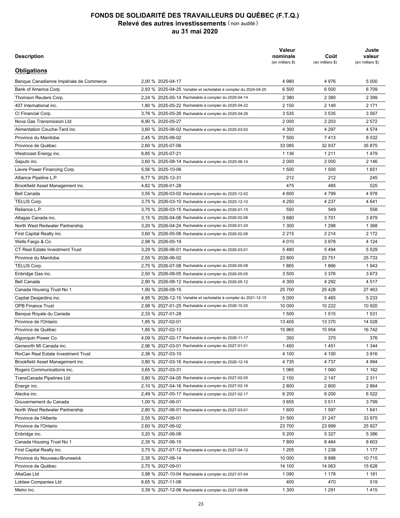| <b>Description</b>                      |                                                                  | Valeur<br>nominale<br>(en milliers \$) | Coût<br>(en milliers \$) | Juste<br>valeur<br>(en milliers \$) |
|-----------------------------------------|------------------------------------------------------------------|----------------------------------------|--------------------------|-------------------------------------|
| <b>Obligations</b>                      |                                                                  |                                        |                          |                                     |
| Banque Canadienne Impériale de Commerce | 2.00 % 2025-04-17                                                | 4 9 8 0                                | 4976                     | 5 0 0 0                             |
| Bank of America Corp.                   | 2,93 % 2025-04-25 Variable et rachetable à compter du 2024-04-25 | 6 500                                  | 6 500                    | 6709                                |
| Thomson Reuters Corp.                   | 2,24 % 2025-05-14 Rachetable à compter du 2025-04-14             | 2 3 8 0                                | 2 3 8 0                  | 2 3 9 9                             |
| 407 International inc.                  | 1,80 % 2025-05-22 Rachetable à compter du 2025-04-22             | 2 150                                  | 2 149                    | 2 1 7 1                             |
| CI Financial Corp.                      | 3,76 % 2025-05-26 Rachetable à compter du 2025-04-26             | 3 5 3 5                                | 3 5 3 5                  | 3 5 6 7                             |
| Nova Gas Transmission Ltd               | 8,90 % 2025-05-27                                                | 2 0 0 0                                | 2 2 0 3                  | 2 5 7 2                             |
| Alimentation Couche-Tard inc.           | 3,60 % 2025-06-02 Rachetable à compter du 2025-03-02             | 4 300                                  | 4 2 9 7                  | 4 5 7 4                             |
| Province du Manitoba                    | 2,45 % 2025-06-02                                                | 7 500                                  | 7413                     | 8 0 3 2                             |
| Province de Québec                      | 2,60 % 2025-07-06                                                | 33 085                                 | 32 937                   | 35 875                              |
| Westcoast Energy inc.                   | 8,85 % 2025-07-21                                                | 1 1 3 6                                | 1 2 1 1                  | 1479                                |
| Saputo inc.                             | 3,60 % 2025-08-14 Rachetable à compter du 2025-06-14             | 2 0 0 0                                | 2 000                    | 2 146                               |
| Lievre Power Financing Corp.            | 5,56 % 2025-10-06                                                | 1 500                                  | 1 500                    | 1651                                |
| Alliance Pipeline L.P.                  | 6,77 % 2025-12-31                                                | 212                                    | 212                      | 245                                 |
| Brookfield Asset Management inc.        | 4,82 % 2026-01-28                                                | 475                                    | 485                      | 525                                 |
| <b>Bell Canada</b>                      | 3,55 % 2026-03-02 Rachetable à compter du 2025-12-02             | 4 600                                  | 4799                     | 4978                                |
| TELUS Corp.                             | 3,75 % 2026-03-10 Rachetable à compter du 2025-12-10             | 4 2 5 0                                | 4 2 3 7                  | 4 641                               |
| Reliance L.P.                           | 3,75 % 2026-03-15 Rachetable à compter du 2026-01-15             | 550                                    | 549                      | 558                                 |
| Altagas Canada inc.                     | 3,15 % 2026-04-06 Rachetable à compter du 2026-02-06             | 3680                                   | 3701                     | 3879                                |
| North West Redwater Partnership         | 3.20 % 2026-04-24 Rachetable à compter du 2026-01-24             | 1 300                                  | 1 2 9 8                  | 1 3 6 8                             |
| First Capital Realty inc.               | 3,60 % 2026-05-06 Rachetable à compter du 2026-02-06             | 2 2 1 5                                | 2 2 1 4                  | 2 1 7 2                             |
| Wells Fargo & Co.                       | 2,98 % 2026-05-19                                                | 4 0 1 0                                | 3978                     | 4 1 2 4                             |
| <b>CT Real Estate Investment Trust</b>  | 3,29 % 2026-06-01 Rachetable à compter du 2026-03-01             | 5480                                   | 5494                     | 5 5 2 9                             |
| Province du Manitoba                    | 2,55 % 2026-06-02                                                | 23 800                                 | 23 751                   | 25 733                              |
| TELUS Corp.                             | 2,75 % 2026-07-08 Rachetable à compter du 2026-05-08             | 1865                                   | 1866                     | 1943                                |
| Enbridge Gas inc.                       | 2,50 % 2026-08-05 Rachetable à compter du 2026-05-05             | 3 500                                  | 3 3 7 6                  | 3673                                |
| <b>Bell Canada</b>                      | 2,90 % 2026-08-12 Rachetable à compter du 2026-05-12             | 4 300                                  | 4 2 9 2                  | 4517                                |
| Canada Housing Trust No 1               | 1,90 % 2026-09-15                                                | 25 700                                 | 25 428                   | 27 463                              |
| Capital Desjardins inc.                 | 4,95 % 2026-12-15 Variable et rachetable à compter du 2021-12-15 | 5 0 0 0                                | 5465                     | 5 2 3 3                             |
| <b>OPB Finance Trust</b>                | 2,98 % 2027-01-25 Rachetable à compter du 2026-10-25             | 10 000                                 | 10 222                   | 10 920                              |
| Banque Royale du Canada                 | 2,33 % 2027-01-28                                                | 1 500                                  | 1515                     | 1531                                |
| Province de l'Ontario                   | 1,85 % 2027-02-01                                                | 13 4 05                                | 13 370                   | 14 0 28                             |
| Province de Québec                      | 1,85 % 2027-02-13                                                | 15 965                                 | 15 954                   | 16742                               |
| Algonguin Power Co.                     | 4.09 % 2027-02-17 Rachetable à compter du 2026-11-17             | 350                                    | 370                      | 376                                 |
| Genworth MI Canada inc.                 | 2,96 % 2027-03-01 Rachetable à compter du 2027-01-01             | 1450                                   | 1451                     | 1 3 4 4                             |
| RioCan Real Estate Investment Trust     | 2,36 % 2027-03-10                                                | 4 100                                  | 4 100                    | 3916                                |
| Brookfield Asset Management inc.        |                                                                  | 4735                                   | 4 7 3 7                  | 4 9 9 4                             |
| Rogers Communications inc.              | 3,80 % 2027-03-16 Rachetable à compter du 2026-12-16             |                                        |                          |                                     |
|                                         | 3,65 % 2027-03-31                                                | 1 0 6 5                                | 1 0 6 0                  | 1 1 6 2<br>2 3 1 1                  |
| TransCanada Pipelines Ltd               | 3,80 % 2027-04-05 Rachetable à compter du 2027-02-05             | 2 150                                  | 2 147                    |                                     |
| Energir inc.                            | 2,10 % 2027-04-16 Rachetable à compter du 2027-02-16             | 2800                                   | 2800                     | 2 8 6 4                             |
| Alectra inc.                            | 2,49 % 2027-05-17 Rachetable à compter du 2027-02-17             | 6 200                                  | 6 200                    | 6 5 22                              |
| Gouvernement du Canada                  | 1,00 % 2027-06-01                                                | 3655                                   | 3511                     | 3799                                |
| North West Redwater Partnership         | 2,80 % 2027-06-01 Rachetable à compter du 2027-03-01             | 1 600                                  | 1 5 9 7                  | 1641                                |
| Province de l'Alberta                   | 2,55 % 2027-06-01                                                | 31 500                                 | 31 247                   | 33 975                              |
| Province de l'Ontario                   | 2,60 % 2027-06-02                                                | 23 700                                 | 23 999                   | 25 927                              |
| Enbridge inc.                           | 3,20 % 2027-06-08                                                | 5 200                                  | 5 3 2 7                  | 5 3 8 6                             |
| Canada Housing Trust No 1               | 2,35 % 2027-06-15                                                | 7800                                   | 8464                     | 8 6 0 3                             |
| First Capital Realty inc.               | 3,75 % 2027-07-12 Rachetable à compter du 2027-04-12             | 1 2 0 5                                | 1 2 3 8                  | 1 1 7 7                             |
| Province du Nouveau-Brunswick           | 2,35 % 2027-08-14                                                | 10 000                                 | 9998                     | 10715                               |
| Province de Québec                      | 2,75 % 2027-09-01                                                | 14 100                                 | 14 063                   | 15 628                              |
| AltaGas Ltd                             | 3,98 % 2027-10-04 Rachetable à compter du 2027-07-04             | 1 0 9 0                                | 1 1 7 8                  | 1 1 8 1                             |
| Loblaw Companies Ltd                    | 6,65 % 2027-11-08                                                | 400                                    | 470                      | 519                                 |
| Metro inc.                              | 3,39 % 2027-12-06 Rachetable à compter du 2027-09-06             | 1 300                                  | 1 2 9 1                  | 1415                                |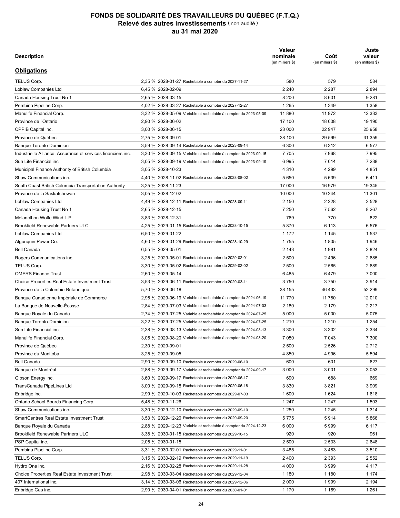| <b>Description</b>                                           |                                                                  | Valeur<br>nominale<br>(en milliers \$) | Coût<br>(en milliers \$) | Juste<br>valeur<br>(en milliers \$) |
|--------------------------------------------------------------|------------------------------------------------------------------|----------------------------------------|--------------------------|-------------------------------------|
| <b>Obligations</b>                                           |                                                                  |                                        |                          |                                     |
| <b>TELUS Corp.</b>                                           | 2,35 % 2028-01-27 Rachetable à compter du 2027-11-27             | 580                                    | 579                      | 584                                 |
| Loblaw Companies Ltd                                         | 6,45 % 2028-02-09                                                | 2 2 4 0                                | 2 2 8 7                  | 2894                                |
| Canada Housing Trust No 1                                    | 2.65 % 2028-03-15                                                | 8 2 0 0                                | 8601                     | 9 2 8 1                             |
| Pembina Pipeline Corp.                                       | 4,02 % 2028-03-27 Rachetable à compter du 2027-12-27             | 1 2 6 5                                | 1 3 4 9                  | 1 3 5 8                             |
| Manulife Financial Corp.                                     | 3,32 % 2028-05-09 Variable et rachetable à compter du 2023-05-09 | 11880                                  | 11 972                   | 12 333                              |
| Province de l'Ontario                                        | 2,90 % 2028-06-02                                                | 17 100                                 | 18 008                   | 19 190                              |
| CPPIB Capital inc.                                           | 3,00 % 2028-06-15                                                | 23 000                                 | 22 947                   | 25 958                              |
| Province de Québec                                           | 2.75 % 2028-09-01                                                | 28 100                                 | 29 599                   | 31 359                              |
| <b>Banque Toronto-Dominion</b>                               | 3,59 % 2028-09-14 Rachetable à compter du 2023-09-14             | 6 300                                  | 6 3 1 2                  | 6577                                |
| Industrielle Alliance, Assurance et services financiers inc. | 3,30 % 2028-09-15 Variable et rachetable à compter du 2023-09-15 | 7 7 0 5                                | 7968                     | 7995                                |
| Sun Life Financial inc.                                      | 3,05 % 2028-09-19 Variable et rachetable à compter du 2023-09-19 | 6995                                   | 7014                     | 7 2 3 8                             |
| Municipal Finance Authority of British Columbia              | 3,05 % 2028-10-23                                                | 4 3 1 0                                | 4 2 9 9                  | 4 8 5 1                             |
| Shaw Communications inc.                                     | 4,40 % 2028-11-02 Rachetable à compter du 2028-08-02             | 5 6 5 0                                | 5639                     | 6411                                |
| South Coast British Columbia Transportation Authority        | 3,25 % 2028-11-23                                                | 17 000                                 | 16 979                   | 19 345                              |
| Province de la Saskatchewan                                  | 3.05 % 2028-12-02                                                | 10 000                                 | 10 244                   | 11 301                              |
| Loblaw Companies Ltd                                         | 4.49 % 2028-12-11 Rachetable à compter du 2028-09-11             | 2 1 5 0                                | 2 2 2 8                  | 2 5 2 8                             |
| Canada Housing Trust No 1                                    | 2.65 % 2028-12-15                                                | 7 2 5 0                                | 7 5 6 2                  | 8 2 6 7                             |
| Melancthon Wolfe Wind L.P.                                   | 3,83 % 2028-12-31                                                | 769                                    | 770                      | 822                                 |
| <b>Brookfield Renewable Partners ULC</b>                     | 4,25 % 2029-01-15 Rachetable à compter du 2028-10-15             | 5870                                   | 6 1 1 3                  | 6576                                |
| Loblaw Companies Ltd                                         | 6,50 % 2029-01-22                                                | 1 1 7 2                                | 1 1 4 5                  | 1537                                |
| Algonquin Power Co.                                          | 4,60 % 2029-01-29 Rachetable à compter du 2028-10-29             | 1755                                   | 1805                     | 1946                                |
| <b>Bell Canada</b>                                           | 6,55 % 2029-05-01                                                | 2 1 4 3                                | 1981                     | 2 8 2 4                             |
| Rogers Communications inc.                                   | 3,25 % 2029-05-01 Rachetable à compter du 2029-02-01             | 2 500                                  | 2496                     | 2685                                |
| TELUS Corp.                                                  | 3,30 % 2029-05-02 Rachetable à compter du 2029-02-02             | 2 500                                  | 2 5 6 5                  | 2689                                |
| <b>OMERS Finance Trust</b>                                   |                                                                  |                                        |                          |                                     |
|                                                              | 2,60 % 2029-05-14                                                | 6485                                   | 6479                     | 7 000<br>3914                       |
| <b>Choice Properties Real Estate Investment Trust</b>        | 3,53 % 2029-06-11 Rachetable à compter du 2029-03-11             | 3750                                   | 3750                     |                                     |
| Province de la Colombie-Britannique                          | 5,70 % 2029-06-18                                                | 38 155                                 | 46 433                   | 52 299                              |
| Banque Canadienne Impériale de Commerce                      | 2,95 % 2029-06-19 Variable et rachetable à compter du 2024-06-19 | 11 770                                 | 11 780                   | 12 010                              |
| La Banque de Nouvelle-Écosse                                 | 2,84 % 2029-07-03 Variable et rachetable à compter du 2024-07-03 | 2 1 8 0                                | 2 1 7 9                  | 2 2 1 7                             |
| Banque Royale du Canada                                      | 2,74 % 2029-07-25 Variable et rachetable à compter du 2024-07-25 | 5 0 0 0                                | 5 0 0 0                  | 5075                                |
| <b>Banque Toronto-Dominion</b>                               | 3,22 % 2029-07-25 Variable et rachetable à compter du 2024-07-25 | 1 2 1 0                                | 1 2 1 0                  | 1 2 5 4                             |
| Sun Life Financial inc.                                      | 2,38 % 2029-08-13 Variable et rachetable à compter du 2024-08-13 | 3 3 0 0                                | 3 3 0 2                  | 3 3 3 4                             |
| Manulife Financial Corp.                                     | 3,05 % 2029-08-20 Variable et rachetable à compter du 2024-08-20 | 7 0 5 0                                | 7 0 4 3                  | 7 300                               |
| Province de Québec                                           | 2,30 % 2029-09-01                                                | 2 500                                  | 2 5 2 6                  | 2712                                |
| Province du Manitoba                                         | 3.25 % 2029-09-05                                                | 4 8 5 0                                | 4996                     | 5 5 9 4                             |
| Bell Canada                                                  | 2,90 % 2029-09-10 Rachetable à compter du 2029-06-10             | 600                                    | 601                      | 627                                 |
| Banque de Montréal                                           | 2,88 % 2029-09-17 Variable et rachetable à compter du 2024-09-17 | 3 0 0 0                                | 3 0 0 1                  | 3 0 5 3                             |
| Gibson Energy inc.                                           | 3,60 % 2029-09-17 Rachetable à compter du 2029-06-17             | 690                                    | 688                      | 669                                 |
| TransCanada PipeLines Ltd                                    | 3,00 % 2029-09-18 Rachetable à compter du 2029-06-18             | 3830                                   | 3821                     | 3 9 0 9                             |
| Enbridge inc.                                                | 2.99 % 2029-10-03 Rachetable à compter du 2029-07-03             | 1600                                   | 1 6 2 4                  | 1618                                |
| Ontario School Boards Financing Corp.                        | 5,48 % 2029-11-26                                                | 1 2 4 7                                | 1 247                    | 1 503                               |
| Shaw Communications inc.                                     | 3,30 % 2029-12-10 Rachetable à compter du 2029-09-10             | 1 2 5 0                                | 1 2 4 5                  | 1 3 1 4                             |
| SmartCentres Real Estate Investment Trust                    | 3,53 % 2029-12-20 Rachetable à compter du 2029-09-20             | 5775                                   | 5914                     | 5866                                |
| Banque Royale du Canada                                      | 2,88 % 2029-12-23 Variable et rachetable à compter du 2024-12-23 | 6 0 0 0                                | 5999                     | 6 1 1 7                             |
| <b>Brookfield Renewable Partners ULC</b>                     | 3,38 % 2030-01-15 Rachetable à compter du 2029-10-15             | 920                                    | 920                      | 961                                 |
| PSP Capital inc.                                             | 2,05 % 2030-01-15                                                | 2 500                                  | 2 5 3 3                  | 2648                                |
| Pembina Pipeline Corp.                                       | 3,31 % 2030-02-01 Rachetable à compter du 2029-11-01             | 3485                                   | 3483                     | 3510                                |
| TELUS Corp.                                                  | 3,15 % 2030-02-19 Rachetable à compter du 2029-11-19             | 2 4 0 0                                | 2 3 9 3                  | 2 5 5 2                             |
| Hydro One inc.                                               | 2,16 % 2030-02-28 Rachetable à compter du 2029-11-28             | 4 0 0 0                                | 3999                     | 4 117                               |
| <b>Choice Properties Real Estate Investment Trust</b>        | 2,98 % 2030-03-04 Rachetable à compter du 2029-12-04             | 1 1 8 0                                | 1 1 8 0                  | 1 1 7 4                             |
| 407 International inc.                                       | 3,14 % 2030-03-06 Rachetable à compter du 2029-12-06             | 2 0 0 0                                | 1999                     | 2 194                               |
| Enbridge Gas inc.                                            | 2,90 % 2030-04-01 Rachetable à compter du 2030-01-01             | 1 1 7 0                                | 1 1 6 9                  | 1 2 6 1                             |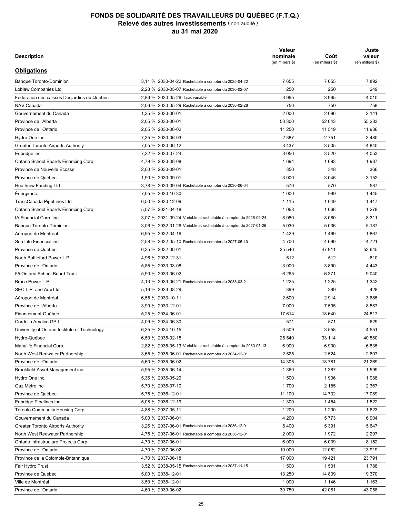| <b>Description</b>                            |                                                                  | Valeur<br>nominale<br>(en milliers \$) | Coût<br>(en milliers \$) | Juste<br>valeur<br>(en milliers \$) |
|-----------------------------------------------|------------------------------------------------------------------|----------------------------------------|--------------------------|-------------------------------------|
| <b>Obligations</b>                            |                                                                  |                                        |                          |                                     |
| <b>Banque Toronto-Dominion</b>                | 3,11 % 2030-04-22 Rachetable à compter du 2025-04-22             | 7655                                   | 7655                     | 7892                                |
| Loblaw Companies Ltd                          | 2,28 % 2030-05-07 Rachetable à compter du 2030-02-07             | 250                                    | 250                      | 249                                 |
| Fédération des caisses Desjardins du Québec   | 2,86 % 2030-05-26 Taux variable                                  | 3 9 6 5                                | 3 9 6 5                  | 4 0 1 0                             |
| NAV Canada                                    | 2.06 % 2030-05-29 Rachetable à compter du 2030-02-28             | 750                                    | 750                      | 758                                 |
| Gouvernement du Canada                        | 1,25 % 2030-06-01                                                | 2 0 0 0                                | 2096                     | 2 1 4 1                             |
| Province de l'Alberta                         | 2,05 % 2030-06-01                                                | 53 300                                 | 52 643                   | 55 283                              |
| Province de l'Ontario                         | 2,05 % 2030-06-02                                                | 11 250                                 | 11 519                   | 11 936                              |
| Hydro One inc.                                | 7,35 % 2030-06-03                                                | 2 3 8 7                                | 2751                     | 3 4 8 0                             |
| <b>Greater Toronto Airports Authority</b>     | 7,05 % 2030-06-12                                                | 3437                                   | 3 5 0 5                  | 4 8 4 0                             |
| Enbridge inc.                                 | 7,22 % 2030-07-24                                                | 3 0 5 0                                | 3520                     | 4 0 5 3                             |
| Ontario School Boards Financing Corp.         | 4,79 % 2030-08-08                                                | 1694                                   | 1693                     | 1987                                |
| Province de Nouvelle Écosse                   | 2,00 % 2030-09-01                                                | 350                                    | 348                      | 366                                 |
| Province de Québec                            | 1,90 % 2030-09-01                                                | 3 0 0 0                                | 3 0 4 6                  | 3 1 5 2                             |
| <b>Heathrow Funding Ltd</b>                   | 3,78 % 2030-09-04 Rachetable à compter du 2030-06-04             | 570                                    | 570                      | 587                                 |
| Energir inc.                                  | 7,05 % 2030-10-30                                                | 1 0 0 0                                | 999                      | 1445                                |
| TransCanada PipeLines Ltd                     | 6.50 % 2030-12-09                                                | 1 1 1 5                                | 1 0 4 9                  | 1417                                |
| Ontario School Boards Financing Corp.         | 5,07 % 2031-04-18                                                | 1 0 6 8                                | 1 0 6 8                  | 1 2 7 8                             |
| IA Financial Corp. inc.                       | 3,07 % 2031-09-24 Variable et rachetable à compter du 2026-09-24 | 8 0 8 0                                | 8 0 8 0                  | 8 3 1 1                             |
| <b>Banque Toronto-Dominion</b>                | 3,06 % 2032-01-26 Variable et rachetable à compter du 2027-01-26 | 5 0 3 0                                | 5 0 3 6                  | 5 1 8 7                             |
| Aéroport de Montréal                          | 6,95 % 2032-04-16                                                | 1429                                   | 1469                     | 1867                                |
| Sun Life Financial inc.                       | 2,58 % 2032-05-10 Rachetable à compter du 2027-05-10             | 4700                                   | 4 6 9 9                  | 4721                                |
| Province de Québec                            | 6,25 % 2032-06-01                                                | 35 540                                 | 47 911                   | 53 645                              |
| North Battleford Power L.P.                   | 4,96 % 2032-12-31                                                | 512                                    | 512                      | 610                                 |
| Province de l'Ontario                         | 5,85 % 2033-03-08                                                | 3 0 0 0                                | 3890                     | 4 4 4 3                             |
| 55 Ontario School Board Trust                 | 5,90 % 2033-06-02                                                | 6 2 6 5                                | 6 3 7 1                  | 9 0 4 0                             |
| Bruce Power L.P.                              | 4,13 % 2033-06-21 Rachetable à compter du 2033-03-21             | 1 2 2 5                                | 1 2 2 5                  | 1 3 4 2                             |
| SEC L.P. and Arci Ltd                         | 5,19 % 2033-08-29                                                | 399                                    | 399                      | 428                                 |
|                                               | 6,55 % 2033-10-11                                                | 2600                                   | 2914                     | 3685                                |
| Aéroport de Montréal<br>Province de l'Alberta | 3,90 % 2033-12-01                                                | 7 0 0 0                                | 7 5 9 5                  | 8587                                |
|                                               |                                                                  |                                        |                          |                                     |
| Financement-Québec                            | 5,25 % 2034-06-01                                                | 17614                                  | 18 640                   | 24 817                              |
| Cordelio Amalco GP I                          | 4,09 % 2034-06-30                                                | 571                                    | 571                      | 629                                 |
| University of Ontario Institute of Technology | 6,35 % 2034-10-15                                                | 3 5 0 9                                | 3 5 5 8                  | 4 551                               |
| Hydro-Québec                                  | 6,50 % 2035-02-15                                                | 25 540                                 | 33 114                   | 40 580                              |
| Manulife Financial Corp.                      | 2,82 % 2035-05-13 Variable et rachetable à compter du 2030-05-13 | 6 900                                  | 6 900                    | 6835                                |
| North West Redwater Partnership               | 3,65 % 2035-06-01 Rachetable à compter du 2034-12-01             | 2 5 2 5                                | 2 5 2 4                  | 2607                                |
| Province de l'Ontario                         | 5,60 % 2035-06-02                                                | 14 30 5                                | 18781                    | 21 269                              |
| Brookfield Asset Management inc.              | 5,95 % 2035-06-14                                                | 1 3 6 0                                | 1 3 8 7                  | 1599                                |
| Hydro One inc.                                | 5,36 % 2036-05-20                                                | 1 500                                  | 1936                     | 1988                                |
| Gaz Métro inc.                                | 5,70 % 2036-07-10                                                | 1700                                   | 2 1 8 5                  | 2 3 6 7                             |
| Province de Québec                            | 5,75 % 2036-12-01                                                | 11 100                                 | 14 732                   | 17 089                              |
| Enbridge Pipelines inc.                       | 5,08 % 2036-12-19                                                | 1 300                                  | 1454                     | 1522                                |
| Toronto Community Housing Corp.               | 4,88 % 2037-05-11                                                | 1 200                                  | 1 200                    | 1623                                |
| Gouvernement du Canada                        | 5,00 % 2037-06-01                                                | 4 200                                  | 5773                     | 6 9 0 4                             |
| <b>Greater Toronto Airports Authority</b>     | 3,26 % 2037-06-01 Rachetable à compter du 2036-12-01             | 5400                                   | 5 3 9 1                  | 5 6 4 7                             |
| North West Redwater Partnership               | 4,75 % 2037-06-01 Rachetable à compter du 2036-12-01             | 2 0 0 0                                | 1972                     | 2 2 9 7                             |
| Ontario Infrastructure Projects Corp.         | 4,70 % 2037-06-01                                                | 6 0 0 0                                | 6 0 0 9                  | 8 1 5 2                             |
| Province de l'Ontario                         | 4,70 % 2037-06-02                                                | 10 000                                 | 12 082                   | 13919                               |
| Province de la Colombie-Britannique           | 4,70 % 2037-06-18                                                | 17 000                                 | 19421                    | 23 791                              |
| Fair Hydro Trust                              | 3,52 % 2038-05-15 Rachetable à compter du 2037-11-15             | 1 500                                  | 1 501                    | 1788                                |
| Province de Québec                            | 5,00 % 2038-12-01                                                | 13 250                                 | 14 839                   | 19 370                              |
| Ville de Montréal                             | 3,50 % 2038-12-01                                                | 1 0 0 0                                | 1 1 4 6                  | 1 1 6 3                             |
| Province de l'Ontario                         | 4,60 % 2039-06-02                                                | 30 750                                 | 42 081                   | 43 058                              |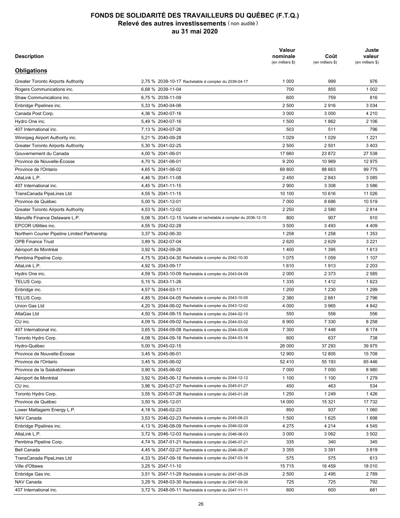| <b>Description</b>                            |                                                                  | Valeur<br>nominale<br>(en milliers \$) | Coût<br>(en milliers \$) | Juste<br>valeur<br>(en milliers \$) |
|-----------------------------------------------|------------------------------------------------------------------|----------------------------------------|--------------------------|-------------------------------------|
| <b>Obligations</b>                            |                                                                  |                                        |                          |                                     |
| Greater Toronto Airports Authority            | 2,75 % 2039-10-17 Rachetable à compter du 2039-04-17             | 1 0 0 0                                | 999                      | 976                                 |
| Rogers Communications inc.                    | 6.68 % 2039-11-04                                                | 700                                    | 855                      | 1 0 0 2                             |
| Shaw Communications inc.                      | 6,75 % 2039-11-09                                                | 600                                    | 759                      | 816                                 |
| Enbridge Pipelines inc.                       | 5,33 % 2040-04-06                                                | 2 500                                  | 2916                     | 3 0 3 4                             |
| Canada Post Corp.                             | 4.36 % 2040-07-16                                                | 3 0 0 0                                | 3 0 0 0                  | 4 2 1 0                             |
| Hydro One inc.                                | 5,49 % 2040-07-16                                                | 1 500                                  | 1862                     | 2 10 6                              |
| 407 International inc.                        | 7,13 % 2040-07-26                                                | 503                                    | 511                      | 796                                 |
| Winnipeg Airport Authority inc.               | 5,21 % 2040-09-28                                                | 1 0 2 9                                | 1 0 2 9                  | 1 2 2 1                             |
| <b>Greater Toronto Airports Authority</b>     | 5,30 % 2041-02-25                                                | 2 500                                  | 2 501                    | 3 4 0 3                             |
| Gouvernement du Canada                        | 4,00 % 2041-06-01                                                | 17 660                                 | 23 872                   | 27 538                              |
| Province de Nouvelle-Écosse                   | 4,70 % 2041-06-01                                                | 9 2 0 0                                | 10 969                   | 12 975                              |
| Province de l'Ontario                         | 4,65 % 2041-06-02                                                | 69 800                                 | 88 663                   | 99 775                              |
| AltaLink L.P.                                 | 4,46 % 2041-11-08                                                | 2 4 5 0                                | 2843                     | 3 0 8 5                             |
| 407 International inc.                        | 4.45 % 2041-11-15                                                | 2 9 0 0                                | 3 3 0 8                  | 3586                                |
| TransCanada PipeLines Ltd                     | 4.55 % 2041-11-15                                                | 10 100                                 | 10 616                   | 11 0 26                             |
| Province de Québec                            | 5,00 % 2041-12-01                                                | 7 000                                  | 8686                     | 10 519                              |
| <b>Greater Toronto Airports Authority</b>     | 4,53 % 2041-12-02                                                | 2 2 5 0                                | 2 5 8 0                  | 2814                                |
| Manulife Finance Delaware L.P.                | 5,06 % 2041-12-15 Variable et rachetable à compter du 2036-12-15 | 800                                    | 907                      | 910                                 |
| <b>EPCOR Utilities inc.</b>                   | 4,55 % 2042-02-28                                                | 3500                                   | 3493                     | 4 4 0 9                             |
| Northern Courier Pipeline Limited Partnership | 3.37 % 2042-06-30                                                | 1 2 5 8                                | 1 2 5 8                  | 1 3 5 3                             |
| <b>OPB Finance Trust</b>                      | 3,89 % 2042-07-04                                                | 2620                                   | 2629                     | 3 2 2 1                             |
| Aéroport de Montréal                          | 3,92 % 2042-09-26                                                | 1400                                   | 1 3 9 5                  | 1613                                |
| Pembina Pipeline Corp.                        | 4,75 % 2043-04-30 Rachetable à compter du 2042-10-30             | 1 0 7 5                                | 1 0 5 9                  | 1 1 0 7                             |
| AltaLink L.P.                                 | 4,92 % 2043-09-17                                                | 1610                                   | 1913                     | 2 2 0 3                             |
| Hydro One inc.                                | 4,59 % 2043-10-09 Rachetable à compter du 2043-04-09             | 2 0 0 0                                | 2 3 7 3                  | 2 5 8 5                             |
| TELUS Corp.                                   | 5,15 % 2043-11-26                                                | 1 3 3 5                                | 1412                     | 1623                                |
| Enbridge inc.                                 | 4,57 % 2044-03-11                                                | 1 200                                  | 1 2 3 0                  | 1 2 9 9                             |
| <b>TELUS Corp.</b>                            | 4,85 % 2044-04-05 Rachetable à compter du 2043-10-05             | 2 3 8 0                                | 2661                     | 2796                                |
| Union Gas Ltd                                 | 4,20 % 2044-06-02 Rachetable à compter du 2043-12-02             | 4 0 0 0                                | 3 9 6 5                  | 4 8 4 2                             |
| AltaGas Ltd                                   |                                                                  | 550                                    | 556                      |                                     |
|                                               | 4,50 % 2044-08-15 Rachetable à compter du 2044-02-15             |                                        |                          | 556                                 |
| CU inc.                                       | 4,09 % 2044-09-02 Rachetable à compter du 2044-03-02             | 6 900                                  | 7 3 3 0                  | 8 2 5 8                             |
| 407 International inc.                        | 3,65 % 2044-09-08 Rachetable à compter du 2044-03-08             | 7 300                                  | 7448                     | 8 1 7 4                             |
| Toronto Hydro Corp.                           | 4.08 % 2044-09-16 Rachetable à compter du 2044-03-16             | 600                                    | 637                      | 738                                 |
| Hydro-Québec                                  | 5,00 % 2045-02-15                                                | 26 000                                 | 37 293                   | 39 975                              |
| Province de Nouvelle-Écosse                   | 3,45 % 2045-06-01                                                | 12 900                                 | 12 805                   | 15 708                              |
| Province de l'Ontario                         | 3,45 % 2045-06-02                                                | 52 410                                 | 55 193                   | 65 446                              |
| Province de la Saskatchewan                   | 3,90 % 2045-06-02                                                | 7 000                                  | 7 0 5 0                  | 8980                                |
| Aéroport de Montréal                          | 3,92 % 2045-06-12 Rachetable à compter du 2044-12-12             | 1 100                                  | 1 100                    | 1 2 7 9                             |
| CU inc.                                       | 3,96 % 2045-07-27 Rachetable à compter du 2045-01-27             | 450                                    | 463                      | 534                                 |
| Toronto Hydro Corp.                           | 3,55 % 2045-07-28 Rachetable à compter du 2045-01-28             | 1 2 5 0                                | 1 2 4 9                  | 1426                                |
| Province de Québec                            | 3,50 % 2045-12-01                                                | 14 000                                 | 15 321                   | 17732                               |
| Lower Mattagami Energy L.P.                   | 4,18 % 2046-02-23                                                | 850                                    | 937                      | 1 0 6 0                             |
| NAV Canada                                    | 3,53 % 2046-02-23 Rachetable à compter du 2045-08-23             | 1 500                                  | 1625                     | 1698                                |
| Enbridge Pipelines inc.                       | 4,13 % 2046-08-09 Rachetable à compter du 2046-02-09             | 4 2 7 5                                | 4 2 1 4                  | 4 5 4 5                             |
| AltaLink L.P.                                 | 3,72 % 2046-12-03 Rachetable à compter du 2046-06-03             | 3 0 0 0                                | 3 0 6 2                  | 3 5 0 2                             |
| Pembina Pipeline Corp.                        | 4,74 % 2047-01-21 Rachetable à compter du 2046-07-21             | 335                                    | 340                      | 345                                 |
| <b>Bell Canada</b>                            | 4,45 % 2047-02-27 Rachetable à compter du 2046-08-27             | 3 3 5 5                                | 3 3 9 1                  | 3819                                |
| TransCanada PipeLines Ltd                     | 4,33 % 2047-09-16 Rachetable à compter du 2047-03-16             | 575                                    | 575                      | 613                                 |
| Ville d'Ottawa                                | 3,25 % 2047-11-10                                                | 15715                                  | 16 459                   | 18 010                              |
| Enbridge Gas inc.                             | 3,51 % 2047-11-29 Rachetable à compter du 2047-05-29             | 2 500                                  | 2495                     | 2789                                |
| NAV Canada                                    | 3,29 % 2048-03-30 Rachetable à compter du 2047-09-30             | 725                                    | 725                      | 792                                 |
| 407 International inc.                        | 3,72 % 2048-05-11 Rachetable à compter du 2047-11-11             | 600                                    | 600                      | 681                                 |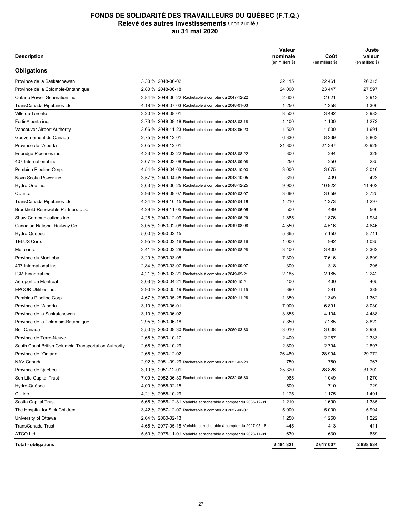| <b>Description</b>                                    |                                                                  | Valeur<br>nominale<br>(en milliers \$) | Coût<br>(en milliers \$) | Juste<br>valeur<br>(en milliers \$) |
|-------------------------------------------------------|------------------------------------------------------------------|----------------------------------------|--------------------------|-------------------------------------|
| <b>Obligations</b>                                    |                                                                  |                                        |                          |                                     |
| Province de la Saskatchewan                           | 3,30 % 2048-06-02                                                | 22 115                                 | 22 461                   | 26 315                              |
| Province de la Colombie-Britannique                   | 2,80 % 2048-06-18                                                | 24 000                                 | 23 447                   | 27 597                              |
| Ontario Power Generation inc.                         | 3,84 % 2048-06-22 Rachetable à compter du 2047-12-22             | 2600                                   | 2621                     | 2913                                |
| TransCanada PipeLines Ltd                             | 4,18 % 2048-07-03 Rachetable à compter du 2048-01-03             | 1 2 5 0                                | 1 2 5 8                  | 1 3 0 6                             |
| Ville de Toronto                                      | 3.20 % 2048-08-01                                                | 3 500                                  | 3 4 9 2                  | 3983                                |
| FortisAlberta inc.                                    | 3,73 % 2048-09-18 Rachetable à compter du 2048-03-18             | 1 100                                  | 1 100                    | 1 2 7 2                             |
| Vancouver Airport Authority                           | 3,66 % 2048-11-23 Rachetable à compter du 2048-05-23             | 1 500                                  | 1 500                    | 1691                                |
| Gouvernement du Canada                                | 2,75 % 2048-12-01                                                | 6 3 3 0                                | 8 2 3 9                  | 8863                                |
| Province de l'Alberta                                 | 3.05 % 2048-12-01                                                | 21 300                                 | 21 397                   | 23 9 29                             |
| Enbridge Pipelines inc.                               | 4,33 % 2049-02-22 Rachetable à compter du 2048-08-22             | 300                                    | 294                      | 329                                 |
| 407 International inc.                                | 3,67 % 2049-03-08 Rachetable à compter du 2048-09-08             | 250                                    | 250                      | 285                                 |
| Pembina Pipeline Corp.                                | 4,54 % 2049-04-03 Rachetable à compter du 2048-10-03             | 3 0 0 0                                | 3075                     | 3 0 1 0                             |
| Nova Scotia Power inc.                                | 3,57 % 2049-04-05 Rachetable à compter du 2048-10-05             | 390                                    | 409                      | 423                                 |
| Hydro One inc.                                        | 3,63 % 2049-06-25 Rachetable à compter du 2048-12-25             | 9 9 0 0                                | 10 922                   | 11 402                              |
| CU inc.                                               | 2,96 % 2049-09-07 Rachetable à compter du 2049-03-07             | 3660                                   | 3659                     | 3725                                |
| TransCanada PipeLines Ltd                             | 4,34 % 2049-10-15 Rachetable à compter du 2049-04-15             | 1 2 1 0                                | 1 2 7 3                  | 1 2 9 7                             |
| <b>Brookfield Renewable Partners ULC</b>              | 4,29 % 2049-11-05 Rachetable à compter du 2049-05-05             | 500                                    | 499                      | 500                                 |
| Shaw Communications inc.                              | 4,25 % 2049-12-09 Rachetable à compter du 2049-06-29             | 1885                                   | 1876                     | 1934                                |
| Canadian National Railway Co.                         | 3.05 % 2050-02-08 Rachetable à compter du 2049-08-08             | 4 5 5 0                                | 4516                     | 4 6 4 6                             |
| Hydro-Québec                                          | 5,00 % 2050-02-15                                                | 5 3 6 5                                | 7 150                    | 8711                                |
| TELUS Corp.                                           | 3,95 % 2050-02-16 Rachetable à compter du 2049-08-16             | 1 0 0 0                                | 992                      | 1 0 3 5                             |
| Metro inc.                                            | 3,41 % 2050-02-28 Rachetable à compter du 2049-08-28             | 3400                                   | 3 4 0 0                  | 3 3 6 2                             |
| Province du Manitoba                                  | 3,20 % 2050-03-05                                                | 7 300                                  | 7616                     | 8699                                |
| 407 International inc.                                | 2,84 % 2050-03-07 Rachetable à compter du 2049-09-07             | 300                                    | 318                      | 295                                 |
| IGM Financial inc.                                    | 4,21 % 2050-03-21 Rachetable à compter du 2049-09-21             | 2 185                                  | 2 185                    | 2 2 4 2                             |
| Aéroport de Montréal                                  | 3,03 % 2050-04-21 Rachetable à compter du 2049-10-21             | 400                                    | 400                      | 405                                 |
| <b>EPCOR Utilities inc.</b>                           | 2,90 % 2050-05-19 Rachetable à compter du 2049-11-19             | 390                                    | 391                      | 389                                 |
| Pembina Pipeline Corp.                                | 4,67 % 2050-05-28 Rachetable à compter du 2049-11-28             | 1 3 5 0                                | 1 3 4 9                  | 1 3 6 2                             |
| Province de l'Alberta                                 | 3,10 % 2050-06-01                                                | 7 0 0 0                                | 6891                     | 8 0 3 0                             |
| Province de la Saskatchewan                           | 3,10 % 2050-06-02                                                | 3855                                   | 4 104                    | 4 4 8 8                             |
| Province de la Colombie-Britannique                   | 2.95 % 2050-06-18                                                | 7 3 5 0                                | 7 2 8 5                  | 8822                                |
| <b>Bell Canada</b>                                    | 3,50 % 2050-09-30 Rachetable à compter du 2050-03-30             | 3010                                   | 3 0 0 8                  | 2930                                |
| Province de Terre-Neuve                               | 2,65 % 2050-10-17                                                | 2 4 0 0                                | 2 2 6 7                  | 2 3 3 3                             |
| South Coast British Columbia Transportation Authority | 2,65 % 2050-10-29                                                | 2800                                   | 2794                     | 2897                                |
| Province de l'Ontario                                 | 2,65 % 2050-12-02                                                | 26 480                                 | 28 994                   | 29 772                              |
| NAV Canada                                            | 2,92 % 2051-09-29 Rachetable à compter du 2051-03-29             | 750                                    | 750                      | 767                                 |
| Province de Québec                                    | 3,10 % 2051-12-01                                                | 25 3 20                                | 28 8 26                  | 31 302                              |
| Sun Life Capital Trust                                | 7,09 % 2052-06-30 Rachetable à compter du 2032-06-30             | 965                                    | 1 0 4 9                  | 1 2 7 0                             |
| Hydro-Québec                                          | 4,00 % 2055-02-15                                                | 500                                    | 710                      | 729                                 |
| CU inc.                                               | 4,21 % 2055-10-29                                                | 1 1 7 5                                | 1 1 7 5                  | 1491                                |
| Scotia Capital Trust                                  | 5,65 % 2056-12-31 Variable et rachetable à compter du 2036-12-31 | 1 2 1 0                                | 1690                     | 1 3 8 5                             |
|                                                       |                                                                  |                                        |                          |                                     |
| The Hospital for Sick Children                        | 3,42 % 2057-12-07 Rachetable à compter du 2057-06-07             | 5 0 0 0                                | 5 0 0 0                  | 5994                                |
| University of Ottawa<br>TransCanada Trust             | 2,64 % 2060-02-13                                                | 1 2 5 0<br>445                         | 1 2 5 0<br>413           | 1 2 2 2<br>411                      |
|                                                       | 4,65 % 2077-05-18 Variable et rachetable à compter du 2027-05-18 |                                        |                          |                                     |
| ATCO Ltd                                              | 5,50 % 2078-11-01 Variable et rachetable à compter du 2028-11-01 | 630                                    | 630                      | 659                                 |
| <b>Total - obligations</b>                            |                                                                  | 2 484 321                              | 2617007                  | 2828534                             |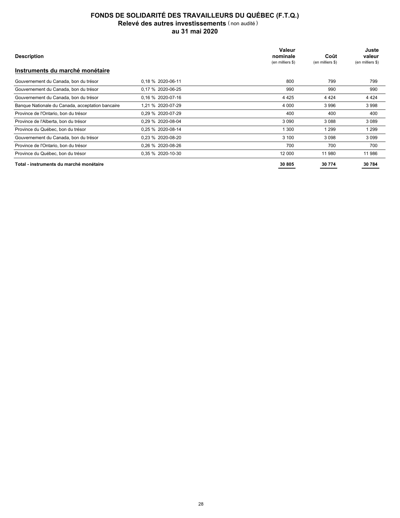| <b>Description</b>                               |                   | Valeur<br>nominale<br>(en milliers \$) | Coût<br>(en milliers \$) | Juste<br>valeur<br>(en milliers \$) |
|--------------------------------------------------|-------------------|----------------------------------------|--------------------------|-------------------------------------|
| Instruments du marché monétaire                  |                   |                                        |                          |                                     |
| Gouvernement du Canada, bon du trésor            | 0.18 % 2020-06-11 | 800                                    | 799                      | 799                                 |
| Gouvernement du Canada, bon du trésor            | 0.17 % 2020-06-25 | 990                                    | 990                      | 990                                 |
| Gouvernement du Canada, bon du trésor            | 0.16 % 2020-07-16 | 4 4 2 5                                | 4 4 2 4                  | 4 4 2 4                             |
| Banque Nationale du Canada, acceptation bancaire | 1.21 % 2020-07-29 | 4 0 0 0                                | 3996                     | 3998                                |
| Province de l'Ontario, bon du trésor             | 0.29 % 2020-07-29 | 400                                    | 400                      | 400                                 |
| Province de l'Alberta, bon du trésor             | 0.29 % 2020-08-04 | 3 0 9 0                                | 3 0 8 8                  | 3 0 8 9                             |
| Province du Québec, bon du trésor                | 0.25 % 2020-08-14 | 1 300                                  | 1 2 9 9                  | 1 2 9 9                             |
| Gouvernement du Canada, bon du trésor            | 0.23 % 2020-08-20 | 3 100                                  | 3098                     | 3 0 9 9                             |
| Province de l'Ontario, bon du trésor             | 0.26 % 2020-08-26 | 700                                    | 700                      | 700                                 |
| Province du Québec, bon du trésor                | 0.35 % 2020-10-30 | 12 000                                 | 11 980                   | 11 986                              |
| Total - instruments du marché monétaire          |                   | 30 805                                 | 30 774                   | 30 784                              |